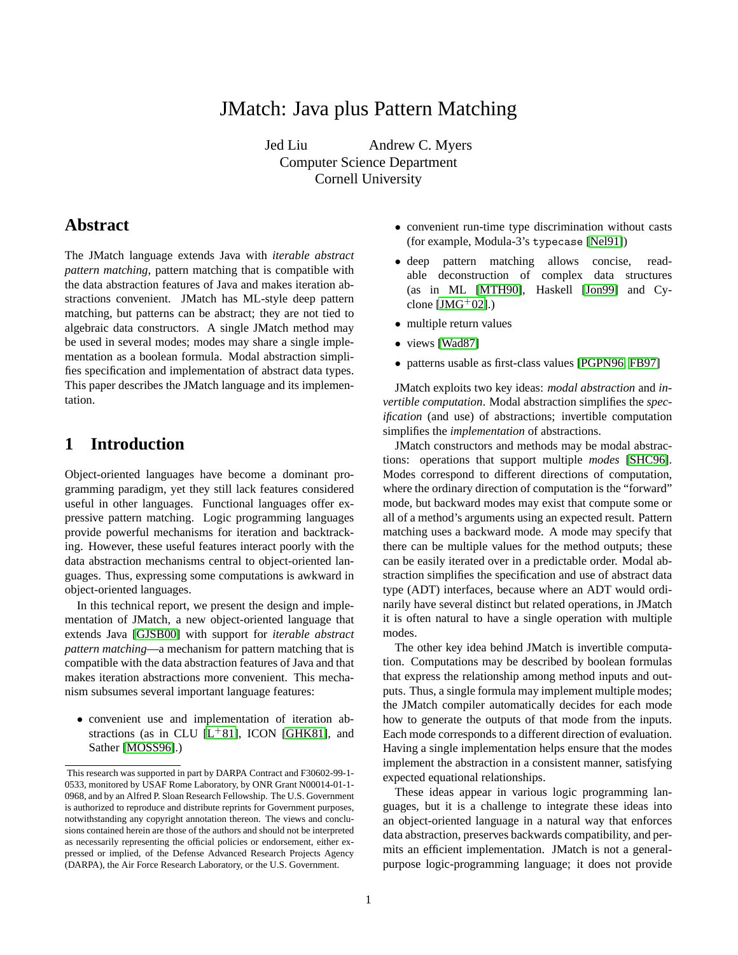# JMatch: Java plus Pattern Matching

Jed Liu Andrew C. Myers Computer Science Department Cornell University

## **Abstract**

The JMatch language extends Java with *iterable abstract pattern matching*, pattern matching that is compatible with the data abstraction features of Java and makes iteration abstractions convenient. JMatch has ML-style deep pattern matching, but patterns can be abstract; they are not tied to algebraic data constructors. A single JMatch method may be used in several modes; modes may share a single implementation as a boolean formula. Modal abstraction simplifies specification and implementation of abstract data types. This paper describes the JMatch language and its implementation.

## **1 Introduction**

Object-oriented languages have become a dominant programming paradigm, yet they still lack features considered useful in other languages. Functional languages offer expressive pattern matching. Logic programming languages provide powerful mechanisms for iteration and backtracking. However, these useful features interact poorly with the data abstraction mechanisms central to object-oriented languages. Thus, expressing some computations is awkward in object-oriented languages.

In this technical report, we present the design and implementation of JMatch, a new object-oriented language that extends Java [\[GJSB00\]](#page-12-0) with support for *iterable abstract pattern matching*—a mechanism for pattern matching that is compatible with the data abstraction features of Java and that makes iteration abstractions more convenient. This mechanism subsumes several important language features:

• convenient use and implementation of iteration abstractions (as in CLU  $[L+81]$  $[L+81]$ , ICON [\[GHK81\]](#page-12-2), and Sather [\[MOSS96\]](#page-12-3).)

- convenient run-time type discrimination without casts (for example, Modula-3's typecase [\[Nel91\]](#page-13-0))
- deep pattern matching allows concise, readable deconstruction of complex data structures (as in ML [\[MTH90\]](#page-12-4), Haskell [\[Jon99\]](#page-12-5) and Cyclone  $[JMG^+02]$ .)
- multiple return values
- views [\[Wad87\]](#page-13-1)
- patterns usable as first-class values [\[PGPN96,](#page-13-2) [FB97\]](#page-12-7)

JMatch exploits two key ideas: *modal abstraction* and *invertible computation*. Modal abstraction simplifies the *specification* (and use) of abstractions; invertible computation simplifies the *implementation* of abstractions.

JMatch constructors and methods may be modal abstractions: operations that support multiple *modes* [\[SHC96\]](#page-13-3). Modes correspond to different directions of computation, where the ordinary direction of computation is the "forward" mode, but backward modes may exist that compute some or all of a method's arguments using an expected result. Pattern matching uses a backward mode. A mode may specify that there can be multiple values for the method outputs; these can be easily iterated over in a predictable order. Modal abstraction simplifies the specification and use of abstract data type (ADT) interfaces, because where an ADT would ordinarily have several distinct but related operations, in JMatch it is often natural to have a single operation with multiple modes.

The other key idea behind JMatch is invertible computation. Computations may be described by boolean formulas that express the relationship among method inputs and outputs. Thus, a single formula may implement multiple modes; the JMatch compiler automatically decides for each mode how to generate the outputs of that mode from the inputs. Each mode corresponds to a different direction of evaluation. Having a single implementation helps ensure that the modes implement the abstraction in a consistent manner, satisfying expected equational relationships.

These ideas appear in various logic programming languages, but it is a challenge to integrate these ideas into an object-oriented language in a natural way that enforces data abstraction, preserves backwards compatibility, and permits an efficient implementation. JMatch is not a generalpurpose logic-programming language; it does not provide

This research was supported in part by DARPA Contract and F30602-99-1- 0533, monitored by USAF Rome Laboratory, by ONR Grant N00014-01-1- 0968, and by an Alfred P. Sloan Research Fellowship. The U.S. Government is authorized to reproduce and distribute reprints for Government purposes, notwithstanding any copyright annotation thereon. The views and conclusions contained herein are those of the authors and should not be interpreted as necessarily representing the official policies or endorsement, either expressed or implied, of the Defense Advanced Research Projects Agency (DARPA), the Air Force Research Laboratory, or the U.S. Government.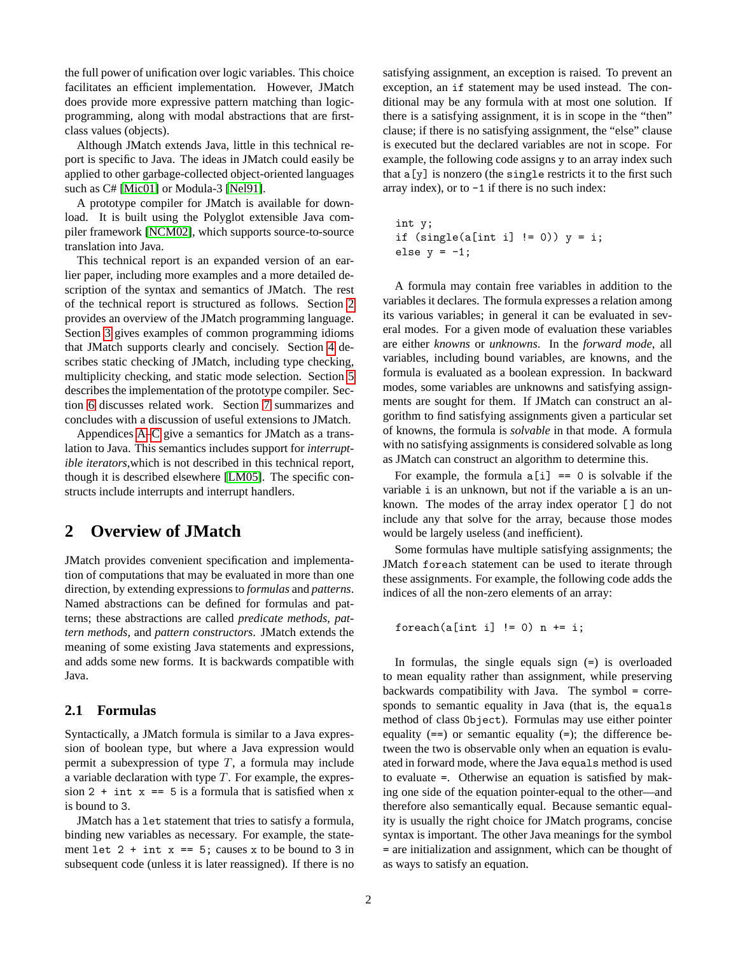the full power of unification over logic variables. This choice facilitates an efficient implementation. However, JMatch does provide more expressive pattern matching than logicprogramming, along with modal abstractions that are firstclass values (objects).

Although JMatch extends Java, little in this technical report is specific to Java. The ideas in JMatch could easily be applied to other garbage-collected object-oriented languages such as C# [\[Mic01\]](#page-12-8) or Modula-3 [\[Nel91\]](#page-13-0).

A prototype compiler for JMatch is available for download. It is built using the Polyglot extensible Java compiler framework [\[NCM02\]](#page-12-9), which supports source-to-source translation into Java.

This technical report is an expanded version of an earlier paper, including more examples and a more detailed description of the syntax and semantics of JMatch. The rest of the technical report is structured as follows. Section [2](#page-1-0) provides an overview of the JMatch programming language. Section [3](#page-6-0) gives examples of common programming idioms that JMatch supports clearly and concisely. Section [4](#page-8-0) describes static checking of JMatch, including type checking, multiplicity checking, and static mode selection. Section [5](#page-10-0) describes the implementation of the prototype compiler. Section [6](#page-10-1) discusses related work. Section [7](#page-11-0) summarizes and concludes with a discussion of useful extensions to JMatch.

Appendices [A](#page-13-4)[–C](#page-17-0) give a semantics for JMatch as a translation to Java. This semantics includes support for *interruptible iterators*,which is not described in this technical report, though it is described elsewhere [\[LM05\]](#page-12-10). The specific constructs include interrupts and interrupt handlers.

## <span id="page-1-0"></span>**2 Overview of JMatch**

JMatch provides convenient specification and implementation of computations that may be evaluated in more than one direction, by extending expressions to *formulas* and *patterns*. Named abstractions can be defined for formulas and patterns; these abstractions are called *predicate methods*, *pattern methods*, and *pattern constructors*. JMatch extends the meaning of some existing Java statements and expressions, and adds some new forms. It is backwards compatible with Java.

## **2.1 Formulas**

Syntactically, a JMatch formula is similar to a Java expression of boolean type, but where a Java expression would permit a subexpression of type  $T$ , a formula may include a variable declaration with type  $T$ . For example, the expression 2 + int  $x == 5$  is a formula that is satisfied when x is bound to 3.

JMatch has a let statement that tries to satisfy a formula, binding new variables as necessary. For example, the statement let  $2 + \text{int } x == 5$ ; causes x to be bound to 3 in subsequent code (unless it is later reassigned). If there is no satisfying assignment, an exception is raised. To prevent an exception, an if statement may be used instead. The conditional may be any formula with at most one solution. If there is a satisfying assignment, it is in scope in the "then" clause; if there is no satisfying assignment, the "else" clause is executed but the declared variables are not in scope. For example, the following code assigns y to an array index such that  $a[y]$  is nonzero (the single restricts it to the first such array index), or to  $-1$  if there is no such index:

```
int y;
if (single(a[int i] != 0)) y = i;
else y = -1;
```
A formula may contain free variables in addition to the variables it declares. The formula expresses a relation among its various variables; in general it can be evaluated in several modes. For a given mode of evaluation these variables are either *knowns* or *unknowns*. In the *forward mode*, all variables, including bound variables, are knowns, and the formula is evaluated as a boolean expression. In backward modes, some variables are unknowns and satisfying assignments are sought for them. If JMatch can construct an algorithm to find satisfying assignments given a particular set of knowns, the formula is *solvable* in that mode. A formula with no satisfying assignments is considered solvable as long as JMatch can construct an algorithm to determine this.

For example, the formula  $a[i] == 0$  is solvable if the variable *i* is an unknown, but not if the variable a is an unknown. The modes of the array index operator [ ] do not include any that solve for the array, because those modes would be largely useless (and inefficient).

Some formulas have multiple satisfying assignments; the JMatch foreach statement can be used to iterate through these assignments. For example, the following code adds the indices of all the non-zero elements of an array:

foreach(a[int i]  $!= 0$ ) n  $+=$  i;

In formulas, the single equals sign (=) is overloaded to mean equality rather than assignment, while preserving backwards compatibility with Java. The symbol = corresponds to semantic equality in Java (that is, the equals method of class Object). Formulas may use either pointer equality  $(==)$  or semantic equality  $(=)$ ; the difference between the two is observable only when an equation is evaluated in forward mode, where the Java equals method is used to evaluate =. Otherwise an equation is satisfied by making one side of the equation pointer-equal to the other—and therefore also semantically equal. Because semantic equality is usually the right choice for JMatch programs, concise syntax is important. The other Java meanings for the symbol = are initialization and assignment, which can be thought of as ways to satisfy an equation.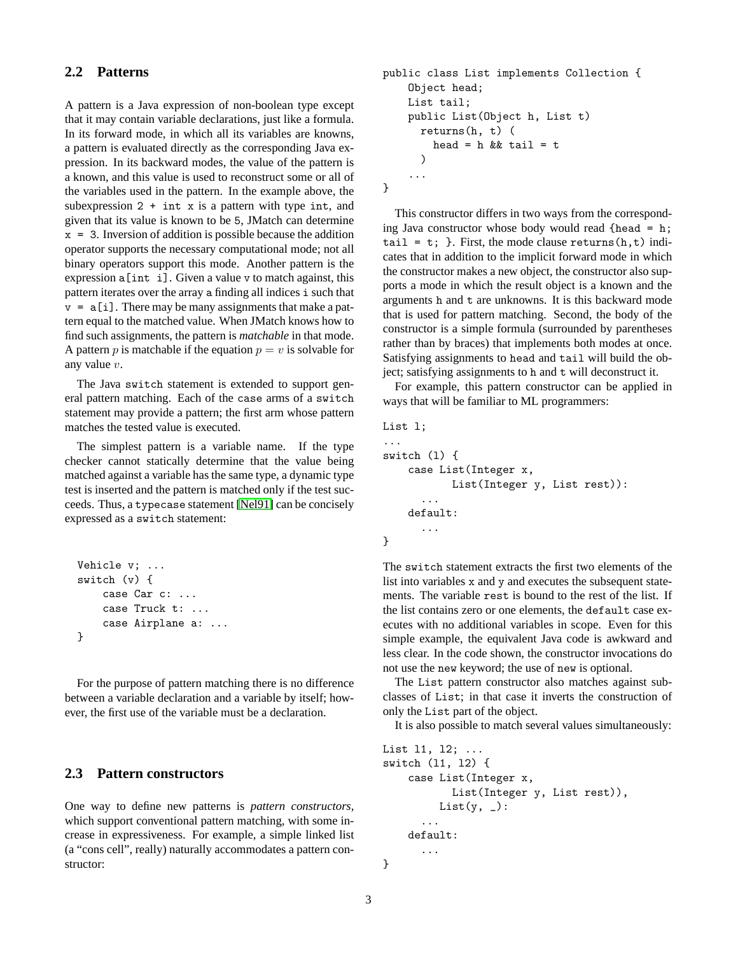## **2.2 Patterns**

A pattern is a Java expression of non-boolean type except that it may contain variable declarations, just like a formula. In its forward mode, in which all its variables are knowns, a pattern is evaluated directly as the corresponding Java expression. In its backward modes, the value of the pattern is a known, and this value is used to reconstruct some or all of the variables used in the pattern. In the example above, the subexpression  $2 + \text{int } x$  is a pattern with type int, and given that its value is known to be 5, JMatch can determine  $x = 3$ . Inversion of addition is possible because the addition operator supports the necessary computational mode; not all binary operators support this mode. Another pattern is the expression a[int i]. Given a value v to match against, this pattern iterates over the array a finding all indices i such that  $v = a[i]$ . There may be many assignments that make a pattern equal to the matched value. When JMatch knows how to find such assignments, the pattern is *matchable* in that mode. A pattern p is matchable if the equation  $p = v$  is solvable for any value v.

The Java switch statement is extended to support general pattern matching. Each of the case arms of a switch statement may provide a pattern; the first arm whose pattern matches the tested value is executed.

The simplest pattern is a variable name. If the type checker cannot statically determine that the value being matched against a variable has the same type, a dynamic type test is inserted and the pattern is matched only if the test succeeds. Thus, a typecase statement [\[Nel91\]](#page-13-0) can be concisely expressed as a switch statement:

```
Vehicle v; ...
switch (v) {
    case Car c: ...
    case Truck t: ...
    case Airplane a: ...
}
```
For the purpose of pattern matching there is no difference between a variable declaration and a variable by itself; however, the first use of the variable must be a declaration.

#### **2.3 Pattern constructors**

One way to define new patterns is *pattern constructors*, which support conventional pattern matching, with some increase in expressiveness. For example, a simple linked list (a "cons cell", really) naturally accommodates a pattern constructor:

```
public class List implements Collection {
    Object head;
    List tail;
    public List(Object h, List t)
      returns(h, t) (
        head = h & tail = t
      )
    ...
}
```
This constructor differs in two ways from the corresponding Java constructor whose body would read {head = h; tail = t; }. First, the mode clause returns $(h, t)$  indicates that in addition to the implicit forward mode in which the constructor makes a new object, the constructor also supports a mode in which the result object is a known and the arguments h and t are unknowns. It is this backward mode that is used for pattern matching. Second, the body of the constructor is a simple formula (surrounded by parentheses rather than by braces) that implements both modes at once. Satisfying assignments to head and tail will build the object; satisfying assignments to h and t will deconstruct it.

For example, this pattern constructor can be applied in ways that will be familiar to ML programmers:

```
List l;
```

```
...
switch (l) {
    case List(Integer x,
           List(Integer y, List rest)):
      ...
    default:
       ...
}
```
The switch statement extracts the first two elements of the list into variables x and y and executes the subsequent statements. The variable rest is bound to the rest of the list. If the list contains zero or one elements, the default case executes with no additional variables in scope. Even for this simple example, the equivalent Java code is awkward and less clear. In the code shown, the constructor invocations do not use the new keyword; the use of new is optional.

The List pattern constructor also matches against subclasses of List; in that case it inverts the construction of only the List part of the object.

It is also possible to match several values simultaneously:

```
List 11, 12; ...
switch (l1, l2) {
    case List(Integer x,
           List(Integer y, List rest)),
         List(y, -):
      ...
    default:
      ...
}
```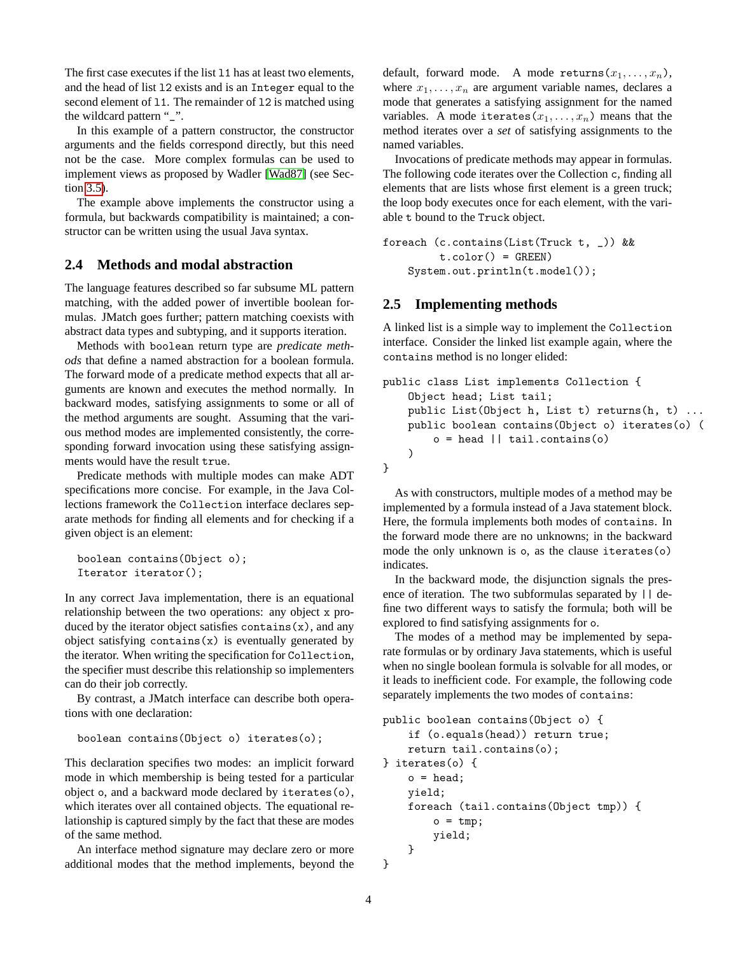The first case executes if the list l1 has at least two elements, and the head of list l2 exists and is an Integer equal to the second element of 11. The remainder of 12 is matched using the wildcard pattern "\_".

In this example of a pattern constructor, the constructor arguments and the fields correspond directly, but this need not be the case. More complex formulas can be used to implement views as proposed by Wadler [\[Wad87\]](#page-13-1) (see Section [3.5\)](#page-7-0).

The example above implements the constructor using a formula, but backwards compatibility is maintained; a constructor can be written using the usual Java syntax.

## **2.4 Methods and modal abstraction**

The language features described so far subsume ML pattern matching, with the added power of invertible boolean formulas. JMatch goes further; pattern matching coexists with abstract data types and subtyping, and it supports iteration.

Methods with boolean return type are *predicate methods* that define a named abstraction for a boolean formula. The forward mode of a predicate method expects that all arguments are known and executes the method normally. In backward modes, satisfying assignments to some or all of the method arguments are sought. Assuming that the various method modes are implemented consistently, the corresponding forward invocation using these satisfying assignments would have the result true.

Predicate methods with multiple modes can make ADT specifications more concise. For example, in the Java Collections framework the Collection interface declares separate methods for finding all elements and for checking if a given object is an element:

```
boolean contains(Object o);
Iterator iterator();
```
In any correct Java implementation, there is an equational relationship between the two operations: any object x produced by the iterator object satisfies contains $(x)$ , and any object satisfying contains $(x)$  is eventually generated by the iterator. When writing the specification for Collection, the specifier must describe this relationship so implementers can do their job correctly.

By contrast, a JMatch interface can describe both operations with one declaration:

```
boolean contains(Object o) iterates(o);
```
This declaration specifies two modes: an implicit forward mode in which membership is being tested for a particular object o, and a backward mode declared by iterates(o), which iterates over all contained objects. The equational relationship is captured simply by the fact that these are modes of the same method.

An interface method signature may declare zero or more additional modes that the method implements, beyond the default, forward mode. A mode returns $(x_1, \ldots, x_n)$ , where  $x_1, \ldots, x_n$  are argument variable names, declares a mode that generates a satisfying assignment for the named variables. A mode iterates  $(x_1, \ldots, x_n)$  means that the method iterates over a *set* of satisfying assignments to the named variables.

Invocations of predicate methods may appear in formulas. The following code iterates over the Collection c, finding all elements that are lists whose first element is a green truck; the loop body executes once for each element, with the variable t bound to the Truck object.

```
foreach (c.contains(List(Truck t, _)) &&
         t.color() = GREEN)System.out.println(t.model());
```
## **2.5 Implementing methods**

A linked list is a simple way to implement the Collection interface. Consider the linked list example again, where the contains method is no longer elided:

```
public class List implements Collection {
    Object head; List tail;
    public List(Object h, List t) returns(h, t) ...
    public boolean contains(Object o) iterates(o) (
        o = head || tail. contains (o))
}
```
As with constructors, multiple modes of a method may be implemented by a formula instead of a Java statement block. Here, the formula implements both modes of contains. In the forward mode there are no unknowns; in the backward mode the only unknown is o, as the clause iterates(o) indicates.

In the backward mode, the disjunction signals the presence of iteration. The two subformulas separated by  $||$  define two different ways to satisfy the formula; both will be explored to find satisfying assignments for o.

The modes of a method may be implemented by separate formulas or by ordinary Java statements, which is useful when no single boolean formula is solvable for all modes, or it leads to inefficient code. For example, the following code separately implements the two modes of contains:

```
public boolean contains(Object o) {
    if (o.equals(head)) return true;
    return tail.contains(o);
} iterates(o) {
    o = head;yield;
    foreach (tail.contains(Object tmp)) {
        o = \text{tmp};yield;
    }
}
```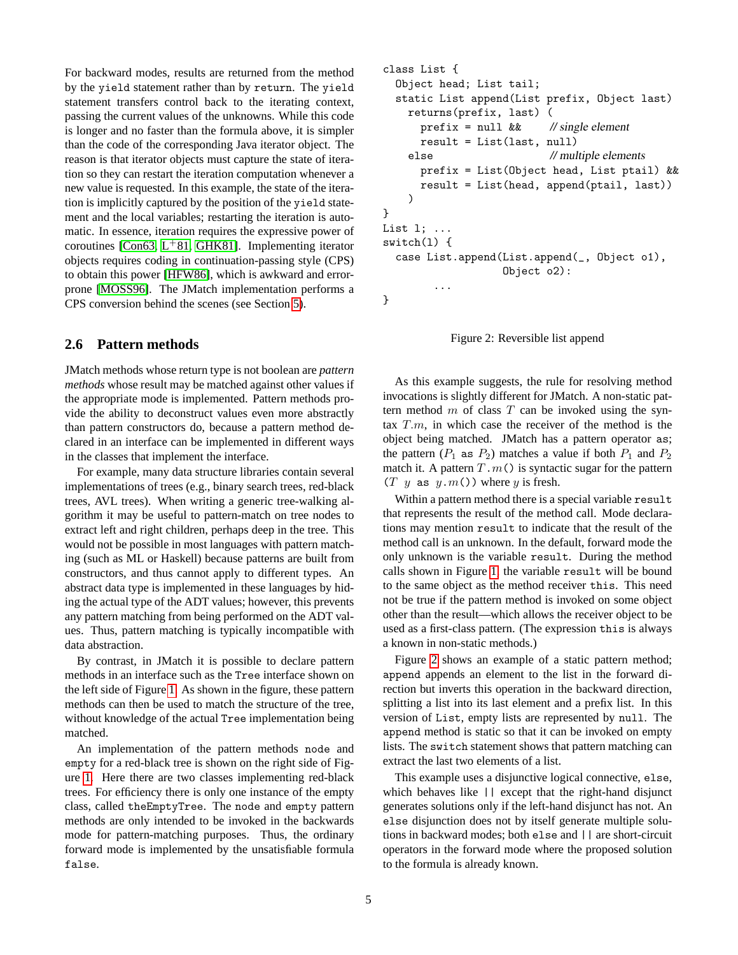For backward modes, results are returned from the method by the yield statement rather than by return. The yield statement transfers control back to the iterating context, passing the current values of the unknowns. While this code is longer and no faster than the formula above, it is simpler than the code of the corresponding Java iterator object. The reason is that iterator objects must capture the state of iteration so they can restart the iteration computation whenever a new value is requested. In this example, the state of the iteration is implicitly captured by the position of the yield statement and the local variables; restarting the iteration is automatic. In essence, iteration requires the expressive power of coroutines [\[Con63,](#page-12-11) L<sup>+</sup>[81,](#page-12-1) [GHK81\]](#page-12-2). Implementing iterator objects requires coding in continuation-passing style (CPS) to obtain this power [\[HFW86\]](#page-12-12), which is awkward and errorprone [\[MOSS96\]](#page-12-3). The JMatch implementation performs a CPS conversion behind the scenes (see Section [5\)](#page-10-0).

## <span id="page-4-1"></span>**2.6 Pattern methods**

JMatch methods whose return type is not boolean are *pattern methods* whose result may be matched against other values if the appropriate mode is implemented. Pattern methods provide the ability to deconstruct values even more abstractly than pattern constructors do, because a pattern method declared in an interface can be implemented in different ways in the classes that implement the interface.

For example, many data structure libraries contain several implementations of trees (e.g., binary search trees, red-black trees, AVL trees). When writing a generic tree-walking algorithm it may be useful to pattern-match on tree nodes to extract left and right children, perhaps deep in the tree. This would not be possible in most languages with pattern matching (such as ML or Haskell) because patterns are built from constructors, and thus cannot apply to different types. An abstract data type is implemented in these languages by hiding the actual type of the ADT values; however, this prevents any pattern matching from being performed on the ADT values. Thus, pattern matching is typically incompatible with data abstraction.

By contrast, in JMatch it is possible to declare pattern methods in an interface such as the Tree interface shown on the left side of Figure [1.](#page-5-0) As shown in the figure, these pattern methods can then be used to match the structure of the tree, without knowledge of the actual Tree implementation being matched.

An implementation of the pattern methods node and empty for a red-black tree is shown on the right side of Figure [1.](#page-5-0) Here there are two classes implementing red-black trees. For efficiency there is only one instance of the empty class, called theEmptyTree. The node and empty pattern methods are only intended to be invoked in the backwards mode for pattern-matching purposes. Thus, the ordinary forward mode is implemented by the unsatisfiable formula false.

```
class List {
  Object head; List tail;
  static List append(List prefix, Object last)
    returns(prefix, last) (
      prefix = null & // single element
      result = List(last, null)
    else // multiple elements
      prefix = List(Object head, List ptail) &&
      result = List(head, append(ptail, last))
    \lambda}
List l; ...
switch(l) {
  case List.append(List.append(_, Object o1),
                   Object o2):
        ...
}
```
<span id="page-4-0"></span>

As this example suggests, the rule for resolving method invocations is slightly different for JMatch. A non-static pattern method  $m$  of class  $T$  can be invoked using the syntax  $T.m$ , in which case the receiver of the method is the object being matched. JMatch has a pattern operator as; the pattern  $(P_1$  as  $P_2$ ) matches a value if both  $P_1$  and  $P_2$ match it. A pattern  $T \cdot m$  () is syntactic sugar for the pattern  $(T \, y \text{ as } y.m() )$  where y is fresh.

Within a pattern method there is a special variable result that represents the result of the method call. Mode declarations may mention result to indicate that the result of the method call is an unknown. In the default, forward mode the only unknown is the variable result. During the method calls shown in Figure [1,](#page-5-0) the variable result will be bound to the same object as the method receiver this. This need not be true if the pattern method is invoked on some object other than the result—which allows the receiver object to be used as a first-class pattern. (The expression this is always a known in non-static methods.)

Figure [2](#page-4-0) shows an example of a static pattern method; append appends an element to the list in the forward direction but inverts this operation in the backward direction, splitting a list into its last element and a prefix list. In this version of List, empty lists are represented by null. The append method is static so that it can be invoked on empty lists. The switch statement shows that pattern matching can extract the last two elements of a list.

This example uses a disjunctive logical connective, else, which behaves like || except that the right-hand disjunct generates solutions only if the left-hand disjunct has not. An else disjunction does not by itself generate multiple solutions in backward modes; both else and || are short-circuit operators in the forward mode where the proposed solution to the formula is already known.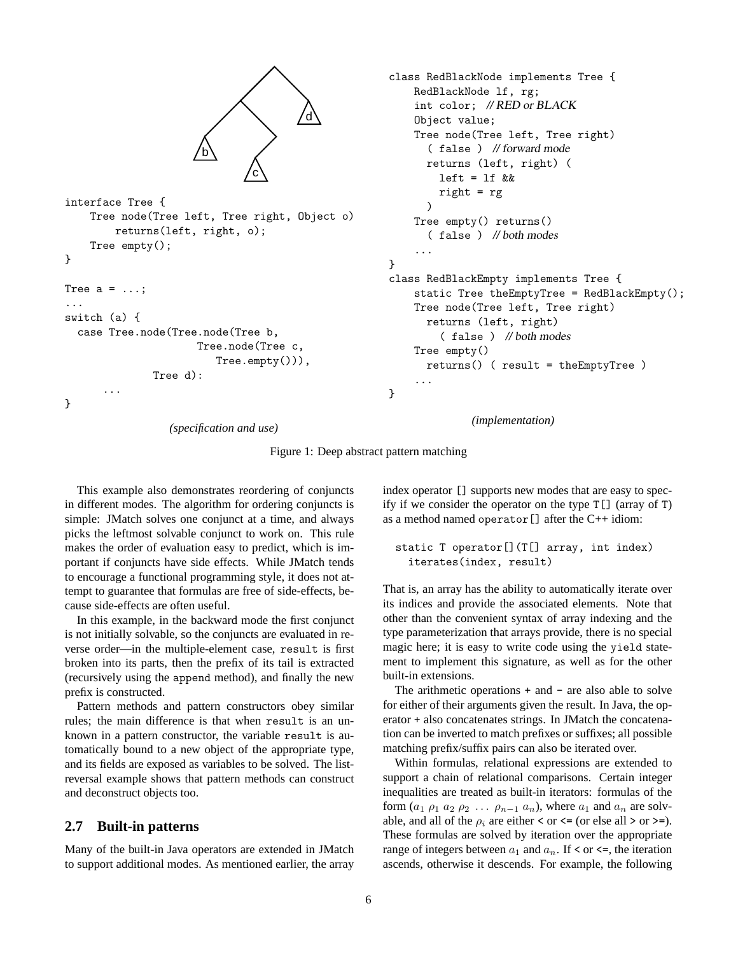

<span id="page-5-0"></span>Figure 1: Deep abstract pattern matching

This example also demonstrates reordering of conjuncts in different modes. The algorithm for ordering conjuncts is simple: JMatch solves one conjunct at a time, and always picks the leftmost solvable conjunct to work on. This rule makes the order of evaluation easy to predict, which is important if conjuncts have side effects. While JMatch tends to encourage a functional programming style, it does not attempt to guarantee that formulas are free of side-effects, because side-effects are often useful.

In this example, in the backward mode the first conjunct is not initially solvable, so the conjuncts are evaluated in reverse order—in the multiple-element case, result is first broken into its parts, then the prefix of its tail is extracted (recursively using the append method), and finally the new prefix is constructed.

Pattern methods and pattern constructors obey similar rules; the main difference is that when result is an unknown in a pattern constructor, the variable result is automatically bound to a new object of the appropriate type, and its fields are exposed as variables to be solved. The listreversal example shows that pattern methods can construct and deconstruct objects too.

#### **2.7 Built-in patterns**

Many of the built-in Java operators are extended in JMatch to support additional modes. As mentioned earlier, the array index operator [] supports new modes that are easy to specify if we consider the operator on the type T[] (array of T) as a method named operator  $[]$  after the  $C++$  idiom:

```
static T operator[](T[] array, int index)
  iterates(index, result)
```
That is, an array has the ability to automatically iterate over its indices and provide the associated elements. Note that other than the convenient syntax of array indexing and the type parameterization that arrays provide, there is no special magic here; it is easy to write code using the yield statement to implement this signature, as well as for the other built-in extensions.

The arithmetic operations  $+$  and  $-$  are also able to solve for either of their arguments given the result. In Java, the operator + also concatenates strings. In JMatch the concatenation can be inverted to match prefixes or suffixes; all possible matching prefix/suffix pairs can also be iterated over.

Within formulas, relational expressions are extended to support a chain of relational comparisons. Certain integer inequalities are treated as built-in iterators: formulas of the form  $(a_1 \rho_1 a_2 \rho_2 \ldots \rho_{n-1} a_n)$ , where  $a_1$  and  $a_n$  are solvable, and all of the  $\rho_i$  are either < or <= (or else all > or >=). These formulas are solved by iteration over the appropriate range of integers between  $a_1$  and  $a_n$ . If < or <=, the iteration ascends, otherwise it descends. For example, the following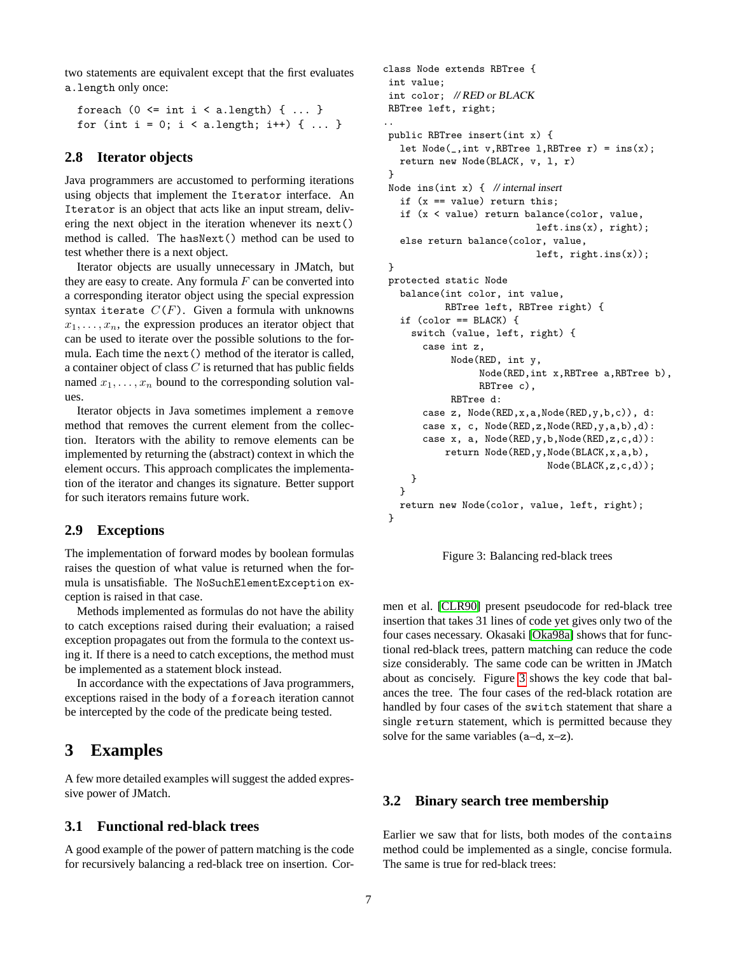two statements are equivalent except that the first evaluates a.length only once:

```
foreach (0 \leq int i \leq a.length) \{ ... \}for (int i = 0; i < a.length; i++) { ... }
```
### **2.8 Iterator objects**

Java programmers are accustomed to performing iterations using objects that implement the Iterator interface. An Iterator is an object that acts like an input stream, delivering the next object in the iteration whenever its next() method is called. The hasNext() method can be used to test whether there is a next object.

Iterator objects are usually unnecessary in JMatch, but they are easy to create. Any formula  $F$  can be converted into a corresponding iterator object using the special expression syntax iterate  $C(F)$ . Given a formula with unknowns  $x_1, \ldots, x_n$ , the expression produces an iterator object that can be used to iterate over the possible solutions to the formula. Each time the next() method of the iterator is called, a container object of class  $C$  is returned that has public fields named  $x_1, \ldots, x_n$  bound to the corresponding solution values.

Iterator objects in Java sometimes implement a remove method that removes the current element from the collection. Iterators with the ability to remove elements can be implemented by returning the (abstract) context in which the element occurs. This approach complicates the implementation of the iterator and changes its signature. Better support for such iterators remains future work.

## **2.9 Exceptions**

The implementation of forward modes by boolean formulas raises the question of what value is returned when the formula is unsatisfiable. The NoSuchElementException exception is raised in that case.

Methods implemented as formulas do not have the ability to catch exceptions raised during their evaluation; a raised exception propagates out from the formula to the context using it. If there is a need to catch exceptions, the method must be implemented as a statement block instead.

In accordance with the expectations of Java programmers, exceptions raised in the body of a foreach iteration cannot be intercepted by the code of the predicate being tested.

## <span id="page-6-0"></span>**3 Examples**

A few more detailed examples will suggest the added expressive power of JMatch.

## **3.1 Functional red-black trees**

A good example of the power of pattern matching is the code for recursively balancing a red-black tree on insertion. Cor-

```
class Node extends RBTree {
 int value;
 int color; // RED or BLACK
RBTree left, right;
..
public RBTree insert(int x) {
  let Node(\_, int v, RBTree 1, RBTree r) = ins(x);return new Node(BLACK, v, l, r)
}
Node ins(int x) { // internal insert
   if (x == value) return this;
  if (x < value) return balance(color, value,
                            left.ins(x), right);
   else return balance(color, value,
                            left, right.ins(x));
}
protected static Node
   balance(int color, int value,
           RBTree left, RBTree right) {
   if (color == BLACK) {
     switch (value, left, right) {
       case int z,
            Node(RED, int y,
                 Node(RED,int x,RBTree a,RBTree b),
                 RBTree c),
            RBTree d:
       case z, Node(RED,x,a,Node(RED,y,b,c)), d:
       case x, c, Node(RED,z,Node(RED,y,a,b),d):
       case x, a, Node(RED,y,b,Node(RED,z,c,d)):
           return Node(RED,y,Node(BLACK,x,a,b),
                              Node(BLACK,z,c,d));
    }
  }
  return new Node(color, value, left, right);
}
```
<span id="page-6-1"></span>

men et al. [\[CLR90\]](#page-12-13) present pseudocode for red-black tree insertion that takes 31 lines of code yet gives only two of the four cases necessary. Okasaki [\[Oka98a\]](#page-13-5) shows that for functional red-black trees, pattern matching can reduce the code size considerably. The same code can be written in JMatch about as concisely. Figure [3](#page-6-1) shows the key code that balances the tree. The four cases of the red-black rotation are handled by four cases of the switch statement that share a single return statement, which is permitted because they solve for the same variables (a–d, x–z).

### **3.2 Binary search tree membership**

Earlier we saw that for lists, both modes of the contains method could be implemented as a single, concise formula. The same is true for red-black trees: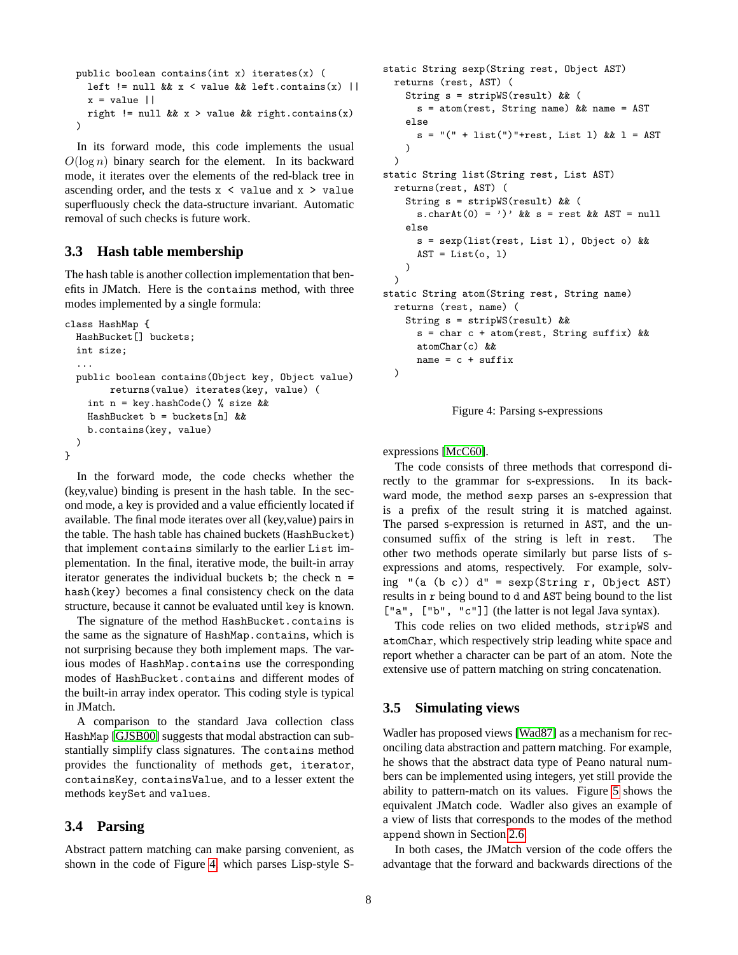```
public boolean contains(int x) iterates(x) (
  left != null && x < value && left.contains(x) ||
  x = value ||
  right != null && x > value && right.contains(x)
\lambda
```
In its forward mode, this code implements the usual  $O(\log n)$  binary search for the element. In its backward mode, it iterates over the elements of the red-black tree in ascending order, and the tests  $x <$  value and  $x >$  value superfluously check the data-structure invariant. Automatic removal of such checks is future work.

## **3.3 Hash table membership**

The hash table is another collection implementation that benefits in JMatch. Here is the contains method, with three modes implemented by a single formula:

```
class HashMap {
  HashBucket[] buckets;
  int size;
  ...
  public boolean contains(Object key, Object value)
        returns(value) iterates(key, value) (
    int n = key.hashCode() % size &&
    HashBucket b = buckets[n] &&
    b.contains(key, value)
  \lambda}
```
In the forward mode, the code checks whether the (key,value) binding is present in the hash table. In the second mode, a key is provided and a value efficiently located if available. The final mode iterates over all (key,value) pairs in the table. The hash table has chained buckets (HashBucket) that implement contains similarly to the earlier List implementation. In the final, iterative mode, the built-in array iterator generates the individual buckets b; the check  $n =$ hash(key) becomes a final consistency check on the data structure, because it cannot be evaluated until key is known.

The signature of the method HashBucket.contains is the same as the signature of HashMap.contains, which is not surprising because they both implement maps. The various modes of HashMap.contains use the corresponding modes of HashBucket.contains and different modes of the built-in array index operator. This coding style is typical in JMatch.

A comparison to the standard Java collection class HashMap [\[GJSB00\]](#page-12-0) suggests that modal abstraction can substantially simplify class signatures. The contains method provides the functionality of methods get, iterator, containsKey, containsValue, and to a lesser extent the methods keySet and values.

#### **3.4 Parsing**

Abstract pattern matching can make parsing convenient, as shown in the code of Figure [4,](#page-7-1) which parses Lisp-style S-

```
static String sexp(String rest, Object AST)
 returns (rest, AST) (
    String s = stripWS(result) && (
      s = atom(rest, String name) && name = AST
    else
      s = "(" + list(")"+rest, List 1) & l = AST)
 )
static String list(String rest, List AST)
 returns(rest, AST) (
    String s = stripWS(result) && (
      s.charAt(0) = ')' && s = rest && AST = null
    else
      s = sexp(list(rest, List l), Object o) &&
      AST = List(o, 1))
 )
static String atom(String rest, String name)
 returns (rest, name) (
    String s = stripWS(result) &&
      s = char c + atom(rest, String suffix) &&
      atomChar(c) &&
      name = c + suffix)
```
<span id="page-7-1"></span>

expressions [\[McC60\]](#page-12-14).

The code consists of three methods that correspond directly to the grammar for s-expressions. In its backward mode, the method sexp parses an s-expression that is a prefix of the result string it is matched against. The parsed s-expression is returned in AST, and the unconsumed suffix of the string is left in rest. The other two methods operate similarly but parse lists of sexpressions and atoms, respectively. For example, solving "(a (b c)) d" = sexp(String r, Object AST) results in r being bound to d and AST being bound to the list ["a", ["b", "c"]] (the latter is not legal Java syntax).

This code relies on two elided methods, stripWS and atomChar, which respectively strip leading white space and report whether a character can be part of an atom. Note the extensive use of pattern matching on string concatenation.

#### <span id="page-7-0"></span>**3.5 Simulating views**

Wadler has proposed views [\[Wad87\]](#page-13-1) as a mechanism for reconciling data abstraction and pattern matching. For example, he shows that the abstract data type of Peano natural numbers can be implemented using integers, yet still provide the ability to pattern-match on its values. Figure [5](#page-8-1) shows the equivalent JMatch code. Wadler also gives an example of a view of lists that corresponds to the modes of the method append shown in Section [2.6.](#page-4-1)

In both cases, the JMatch version of the code offers the advantage that the forward and backwards directions of the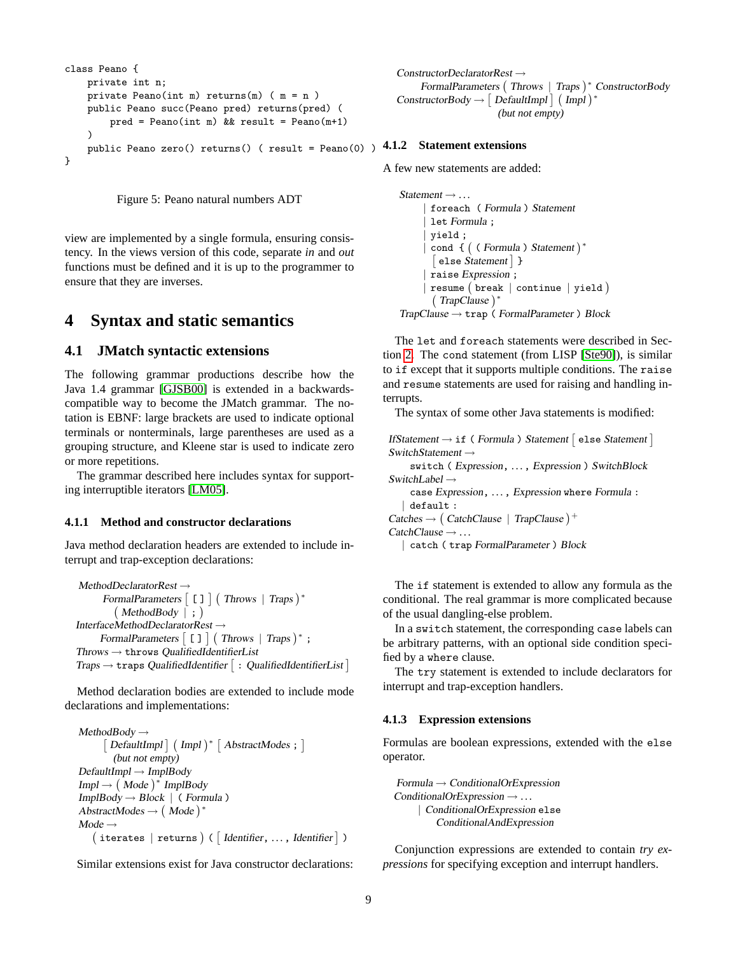```
class Peano {
   private int n;
   private Peano(int m) returns(m) (m = n)
   public Peano succ(Peano pred) returns(pred) (
        pred = Peano(int m) && result = Peano(m+1)
    \lambdapublic Peano zero() returns() ( result = Peano(0) )
}
```
<span id="page-8-1"></span>Figure 5: Peano natural numbers ADT

view are implemented by a single formula, ensuring consistency. In the views version of this code, separate *in* and *out* functions must be defined and it is up to the programmer to ensure that they are inverses.

## <span id="page-8-0"></span>**4 Syntax and static semantics**

## **4.1 JMatch syntactic extensions**

The following grammar productions describe how the Java 1.4 grammar [\[GJSB00\]](#page-12-0) is extended in a backwardscompatible way to become the JMatch grammar. The notation is EBNF: large brackets are used to indicate optional terminals or nonterminals, large parentheses are used as a grouping structure, and Kleene star is used to indicate zero or more repetitions.

The grammar described here includes syntax for supporting interruptible iterators [\[LM05\]](#page-12-10).

#### **4.1.1 Method and constructor declarations**

Java method declaration headers are extended to include interrupt and trap-exception declarations:

```
MethodDeclaratorRest →
       FormalParameters \begin{bmatrix} 1 \end{bmatrix} (Throws | Traps)*
          (MethodBody \mid ; )InterfaceMethodDeclaratorRest →
      FormalParameters \begin{bmatrix} 1 \end{bmatrix} (Throws | Traps)*;
Throws \rightarrow throws QualifiedIdentifierList
Traps \rightarrow traps QualifiedIdentifier [ : QualifiedIdentifierList ]
```
Method declaration bodies are extended to include mode declarations and implementations:

```
MethodBody \rightarrowodBody →<br>[ DefaultImpl ] ( Impl )* [ AbstractModes ; ]
          (but not empty)
DefaultImpl \rightarrow ImpIBodyImpl \rightarrow (Mode)^* ImplBodyImplBody \rightarrow Block \mid (Formula)AbstractModels \rightarrow (Mode)^*Mode \rightarrow\text{index} \rightarrow (\text{iterates } | \text{ returns } ) ( \lceil \text{Identity, ..., } \text{Identity} \rceil )
```
Similar extensions exist for Java constructor declarations:

ConstructorDeclaratorRest → FormalParameters (Throws | Traps )\* ConstructorBody  $ConstructorBody \rightarrow [DefaultImpl] (Impl)^*$ *(but not empty)*

#### **4.1.2 Statement extensions**

A few new statements are added:

```
Statement \rightarrow| foreach ( Formula ) Statement
      let Formula ;
      vield ;
     | cond { ( ( Formula ) Statement )*
       ˆ
         else Statement 1}
      raise Expression;
     | resume ( break | continue | yield )( TrapClause )^*TrapClause \rightarrow trap (FormalParameter) Block
```
The let and foreach statements were described in Section [2.](#page-1-0) The cond statement (from LISP [\[Ste90\]](#page-13-6)), is similar to if except that it supports multiple conditions. The raise and resume statements are used for raising and handling interrupts.

The syntax of some other Java statements is modified:

```
IfStatement \rightarrow if (Formula) Statement \lceil else Statement \rceilSwitchStatement →
     switch (Expression, ..., Expression) SwitchBlock
SwitchLabel →
     case Expression, ..., Expression where Formula :
    default :
Catches \rightarrow (CatchClause \mid TrapClause)<sup>+</sup>
CatchClause \rightarrow \dots| catch (trap FormalParameter) Block
```
The if statement is extended to allow any formula as the conditional. The real grammar is more complicated because of the usual dangling-else problem.

In a switch statement, the corresponding case labels can be arbitrary patterns, with an optional side condition specified by a where clause.

The try statement is extended to include declarators for interrupt and trap-exception handlers.

#### **4.1.3 Expression extensions**

Formulas are boolean expressions, extended with the else operator.

 $Formula \rightarrow ConditionalOrExpression$  $Conditional OrExpression \rightarrow \dots$ | ConditionalOrExpression else ConditionalAndExpression

Conjunction expressions are extended to contain *try expressions* for specifying exception and interrupt handlers.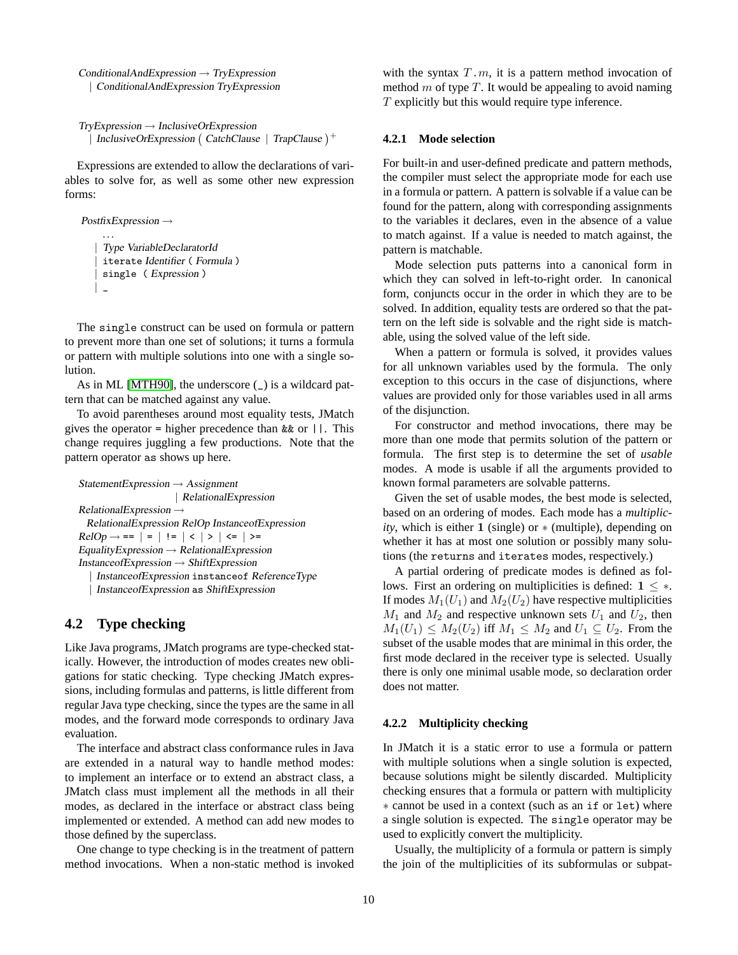$ConditionalAndExpression \rightarrow TryExpression$ | ConditionalAndExpression TryExpression

```
TryExpression → InclusiveOrExpression
  | InclusiveOrExpression ( CatchClause | TrapClause )<sup>+</sup>
```
Expressions are extended to allow the declarations of variables to solve for, as well as some other new expression forms:

```
PostfixExpression \rightarrow. . .
     | Type VariableDeclaratorId
     iterate Identifier (Formula)
     single (Expression)
     \overline{\phantom{a}}
```
The single construct can be used on formula or pattern to prevent more than one set of solutions; it turns a formula or pattern with multiple solutions into one with a single solution.

As in ML [\[MTH90\]](#page-12-4), the underscore (\_) is a wildcard pattern that can be matched against any value.

To avoid parentheses around most equality tests, JMatch gives the operator = higher precedence than && or  $||$ . This change requires juggling a few productions. Note that the pattern operator as shows up here.

 $StatementExpression \rightarrow Assignment$ | RelationalExpression RelationalExpression → RelationalExpression RelOp InstanceofExpression  $RelOp \rightarrow == | = | := | < | > | < = | > =$  $Equality Expression \rightarrow RelationalExpression$ InstanceofExpression → ShiftExpression | InstanceofExpression instanceof ReferenceType | InstanceofExpression as ShiftExpression

# **4.2 Type checking**

Like Java programs, JMatch programs are type-checked statically. However, the introduction of modes creates new obligations for static checking. Type checking JMatch expressions, including formulas and patterns, is little different from regular Java type checking, since the types are the same in all modes, and the forward mode corresponds to ordinary Java evaluation.

The interface and abstract class conformance rules in Java are extended in a natural way to handle method modes: to implement an interface or to extend an abstract class, a JMatch class must implement all the methods in all their modes, as declared in the interface or abstract class being implemented or extended. A method can add new modes to those defined by the superclass.

One change to type checking is in the treatment of pattern method invocations. When a non-static method is invoked with the syntax  $T \cdot m$ , it is a pattern method invocation of method  $m$  of type  $T$ . It would be appealing to avoid naming T explicitly but this would require type inference.

#### **4.2.1 Mode selection**

For built-in and user-defined predicate and pattern methods, the compiler must select the appropriate mode for each use in a formula or pattern. A pattern is solvable if a value can be found for the pattern, along with corresponding assignments to the variables it declares, even in the absence of a value to match against. If a value is needed to match against, the pattern is matchable.

Mode selection puts patterns into a canonical form in which they can solved in left-to-right order. In canonical form, conjuncts occur in the order in which they are to be solved. In addition, equality tests are ordered so that the pattern on the left side is solvable and the right side is matchable, using the solved value of the left side.

When a pattern or formula is solved, it provides values for all unknown variables used by the formula. The only exception to this occurs in the case of disjunctions, where values are provided only for those variables used in all arms of the disjunction.

For constructor and method invocations, there may be more than one mode that permits solution of the pattern or formula. The first step is to determine the set of *usable* modes. A mode is usable if all the arguments provided to known formal parameters are solvable patterns.

Given the set of usable modes, the best mode is selected, based on an ordering of modes. Each mode has a *multiplicity*, which is either 1 (single) or  $*$  (multiple), depending on whether it has at most one solution or possibly many solutions (the returns and iterates modes, respectively.)

A partial ordering of predicate modes is defined as follows. First an ordering on multiplicities is defined:  $1 \leq \ast$ . If modes  $M_1(U_1)$  and  $M_2(U_2)$  have respective multiplicities  $M_1$  and  $M_2$  and respective unknown sets  $U_1$  and  $U_2$ , then  $M_1(U_1) \leq M_2(U_2)$  iff  $M_1 \leq M_2$  and  $U_1 \subseteq U_2$ . From the subset of the usable modes that are minimal in this order, the first mode declared in the receiver type is selected. Usually there is only one minimal usable mode, so declaration order does not matter.

#### **4.2.2 Multiplicity checking**

In JMatch it is a static error to use a formula or pattern with multiple solutions when a single solution is expected, because solutions might be silently discarded. Multiplicity checking ensures that a formula or pattern with multiplicity ∗ cannot be used in a context (such as an if or let) where a single solution is expected. The single operator may be used to explicitly convert the multiplicity.

Usually, the multiplicity of a formula or pattern is simply the join of the multiplicities of its subformulas or subpat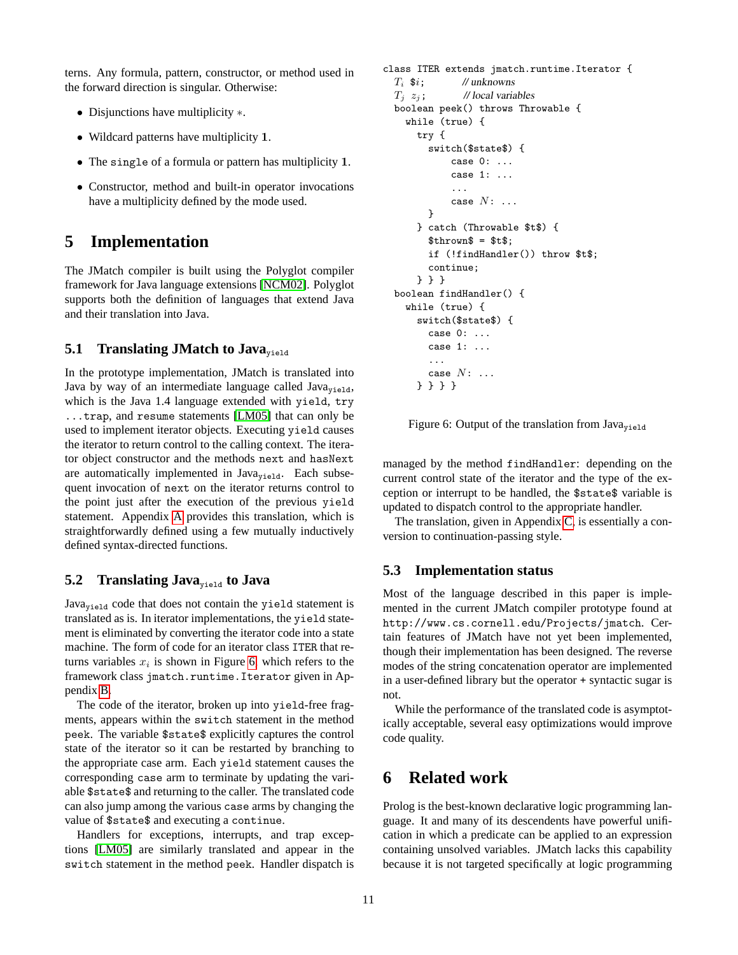terns. Any formula, pattern, constructor, or method used in the forward direction is singular. Otherwise:

- Disjunctions have multiplicity ∗.
- Wildcard patterns have multiplicity 1.
- The single of a formula or pattern has multiplicity 1.
- Constructor, method and built-in operator invocations have a multiplicity defined by the mode used.

## <span id="page-10-0"></span>**5 Implementation**

The JMatch compiler is built using the Polyglot compiler framework for Java language extensions [\[NCM02\]](#page-12-9). Polyglot supports both the definition of languages that extend Java and their translation into Java.

## **5.1 Translating JMatch to Java**<sub>vield</sub>

In the prototype implementation, JMatch is translated into Java by way of an intermediate language called Java<sub>vield</sub>, which is the Java 1.4 language extended with yield, try ...trap, and resume statements [\[LM05\]](#page-12-10) that can only be used to implement iterator objects. Executing yield causes the iterator to return control to the calling context. The iterator object constructor and the methods next and hasNext are automatically implemented in  $Java_{yield}$ . Each subsequent invocation of next on the iterator returns control to the point just after the execution of the previous yield statement. Appendix [A](#page-13-4) provides this translation, which is straightforwardly defined using a few mutually inductively defined syntax-directed functions.

## **5.2 Translating Java<sub>vield</sub> to Java**

 $Java<sub>yield</sub> code that does not contain the yield statement is$ translated as is. In iterator implementations, the yield statement is eliminated by converting the iterator code into a state machine. The form of code for an iterator class ITER that returns variables  $x_i$  is shown in Figure [6,](#page-10-2) which refers to the framework class jmatch.runtime.Iterator given in Appendix [B.](#page-16-0)

The code of the iterator, broken up into yield-free fragments, appears within the switch statement in the method peek. The variable \$state\$ explicitly captures the control state of the iterator so it can be restarted by branching to the appropriate case arm. Each yield statement causes the corresponding case arm to terminate by updating the variable \$state\$ and returning to the caller. The translated code can also jump among the various case arms by changing the value of \$state\$ and executing a continue.

Handlers for exceptions, interrupts, and trap exceptions [\[LM05\]](#page-12-10) are similarly translated and appear in the switch statement in the method peek. Handler dispatch is

```
class ITER extends jmatch.runtime.Iterator {
  T_i $i; // unknowns
  T_i z_i; // local variables
  boolean peek() throws Throwable {
    while (true) {
      try {
        switch($state$) {
            case 0: ...
            case 1: ...
            ...
            case N: \ldots}
      } catch (Throwable $t$) {
        $thrown$ = $t$;if (!findHandler()) throw $t$;
        continue;
      } } }
  boolean findHandler() {
    while (true) {
      switch($state$) {
        case 0: ...
        case 1: ...
        ...
        case N: \ldots} } } }
```
<span id="page-10-2"></span>Figure 6: Output of the translation from  $Java_{yield}$ 

managed by the method findHandler: depending on the current control state of the iterator and the type of the exception or interrupt to be handled, the \$state\$ variable is updated to dispatch control to the appropriate handler.

The translation, given in Appendix [C,](#page-17-0) is essentially a conversion to continuation-passing style.

## **5.3 Implementation status**

Most of the language described in this paper is implemented in the current JMatch compiler prototype found at http://www.cs.cornell.edu/Projects/jmatch. Certain features of JMatch have not yet been implemented, though their implementation has been designed. The reverse modes of the string concatenation operator are implemented in a user-defined library but the operator + syntactic sugar is not.

While the performance of the translated code is asymptotically acceptable, several easy optimizations would improve code quality.

## <span id="page-10-1"></span>**6 Related work**

Prolog is the best-known declarative logic programming language. It and many of its descendents have powerful unification in which a predicate can be applied to an expression containing unsolved variables. JMatch lacks this capability because it is not targeted specifically at logic programming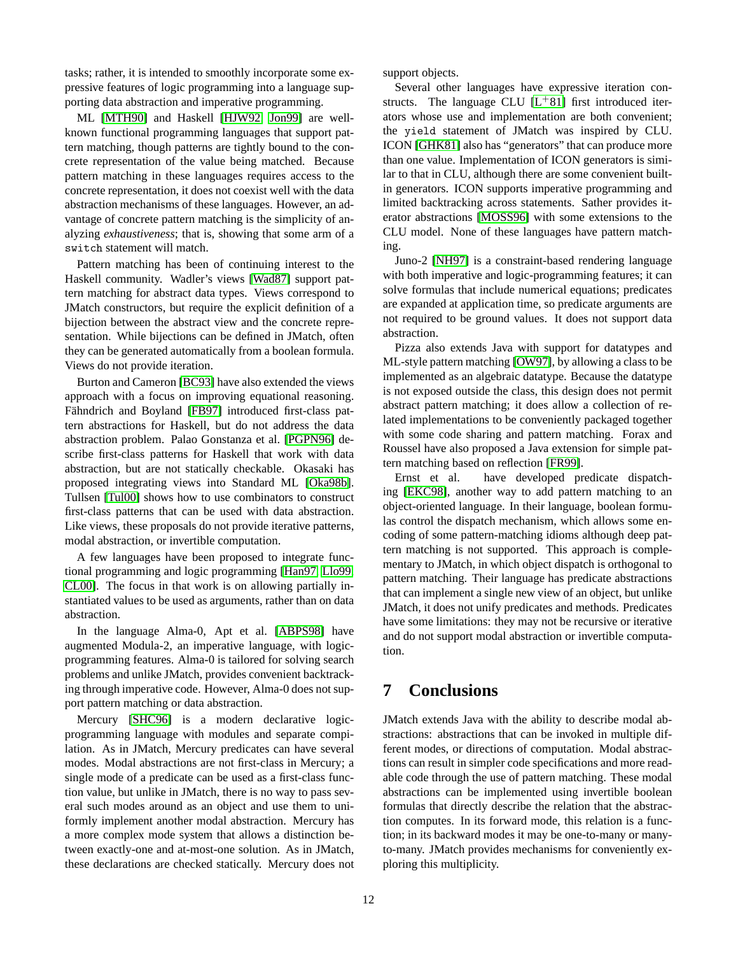tasks; rather, it is intended to smoothly incorporate some expressive features of logic programming into a language supporting data abstraction and imperative programming.

ML [\[MTH90\]](#page-12-4) and Haskell [\[HJW92,](#page-12-15) [Jon99\]](#page-12-5) are wellknown functional programming languages that support pattern matching, though patterns are tightly bound to the concrete representation of the value being matched. Because pattern matching in these languages requires access to the concrete representation, it does not coexist well with the data abstraction mechanisms of these languages. However, an advantage of concrete pattern matching is the simplicity of analyzing *exhaustiveness*; that is, showing that some arm of a switch statement will match.

Pattern matching has been of continuing interest to the Haskell community. Wadler's views [\[Wad87\]](#page-13-1) support pattern matching for abstract data types. Views correspond to JMatch constructors, but require the explicit definition of a bijection between the abstract view and the concrete representation. While bijections can be defined in JMatch, often they can be generated automatically from a boolean formula. Views do not provide iteration.

Burton and Cameron [\[BC93\]](#page-12-16) have also extended the views approach with a focus on improving equational reasoning. Fähndrich and Boyland [\[FB97\]](#page-12-7) introduced first-class pattern abstractions for Haskell, but do not address the data abstraction problem. Palao Gonstanza et al. [\[PGPN96\]](#page-13-2) describe first-class patterns for Haskell that work with data abstraction, but are not statically checkable. Okasaki has proposed integrating views into Standard ML [\[Oka98b\]](#page-13-7). Tullsen [\[Tul00\]](#page-13-8) shows how to use combinators to construct first-class patterns that can be used with data abstraction. Like views, these proposals do not provide iterative patterns, modal abstraction, or invertible computation.

A few languages have been proposed to integrate functional programming and logic programming [\[Han97,](#page-12-17) [Llo99,](#page-12-18) [CL00\]](#page-12-19). The focus in that work is on allowing partially instantiated values to be used as arguments, rather than on data abstraction.

In the language Alma-0, Apt et al. [\[ABPS98\]](#page-12-20) have augmented Modula-2, an imperative language, with logicprogramming features. Alma-0 is tailored for solving search problems and unlike JMatch, provides convenient backtracking through imperative code. However, Alma-0 does not support pattern matching or data abstraction.

Mercury [\[SHC96\]](#page-13-3) is a modern declarative logicprogramming language with modules and separate compilation. As in JMatch, Mercury predicates can have several modes. Modal abstractions are not first-class in Mercury; a single mode of a predicate can be used as a first-class function value, but unlike in JMatch, there is no way to pass several such modes around as an object and use them to uniformly implement another modal abstraction. Mercury has a more complex mode system that allows a distinction between exactly-one and at-most-one solution. As in JMatch, these declarations are checked statically. Mercury does not support objects.

Several other languages have expressive iteration constructs. The language CLU  $[L+81]$  $[L+81]$  first introduced iterators whose use and implementation are both convenient; the yield statement of JMatch was inspired by CLU. ICON [\[GHK81\]](#page-12-2) also has "generators" that can produce more than one value. Implementation of ICON generators is similar to that in CLU, although there are some convenient builtin generators. ICON supports imperative programming and limited backtracking across statements. Sather provides iterator abstractions [\[MOSS96\]](#page-12-3) with some extensions to the CLU model. None of these languages have pattern matching.

Juno-2 [\[NH97\]](#page-13-9) is a constraint-based rendering language with both imperative and logic-programming features; it can solve formulas that include numerical equations; predicates are expanded at application time, so predicate arguments are not required to be ground values. It does not support data abstraction.

Pizza also extends Java with support for datatypes and ML-style pattern matching [\[OW97\]](#page-13-10), by allowing a class to be implemented as an algebraic datatype. Because the datatype is not exposed outside the class, this design does not permit abstract pattern matching; it does allow a collection of related implementations to be conveniently packaged together with some code sharing and pattern matching. Forax and Roussel have also proposed a Java extension for simple pattern matching based on reflection [\[FR99\]](#page-12-21).

Ernst et al. have developed predicate dispatching [\[EKC98\]](#page-12-22), another way to add pattern matching to an object-oriented language. In their language, boolean formulas control the dispatch mechanism, which allows some encoding of some pattern-matching idioms although deep pattern matching is not supported. This approach is complementary to JMatch, in which object dispatch is orthogonal to pattern matching. Their language has predicate abstractions that can implement a single new view of an object, but unlike JMatch, it does not unify predicates and methods. Predicates have some limitations: they may not be recursive or iterative and do not support modal abstraction or invertible computation.

# <span id="page-11-0"></span>**7 Conclusions**

JMatch extends Java with the ability to describe modal abstractions: abstractions that can be invoked in multiple different modes, or directions of computation. Modal abstractions can result in simpler code specifications and more readable code through the use of pattern matching. These modal abstractions can be implemented using invertible boolean formulas that directly describe the relation that the abstraction computes. In its forward mode, this relation is a function; in its backward modes it may be one-to-many or manyto-many. JMatch provides mechanisms for conveniently exploring this multiplicity.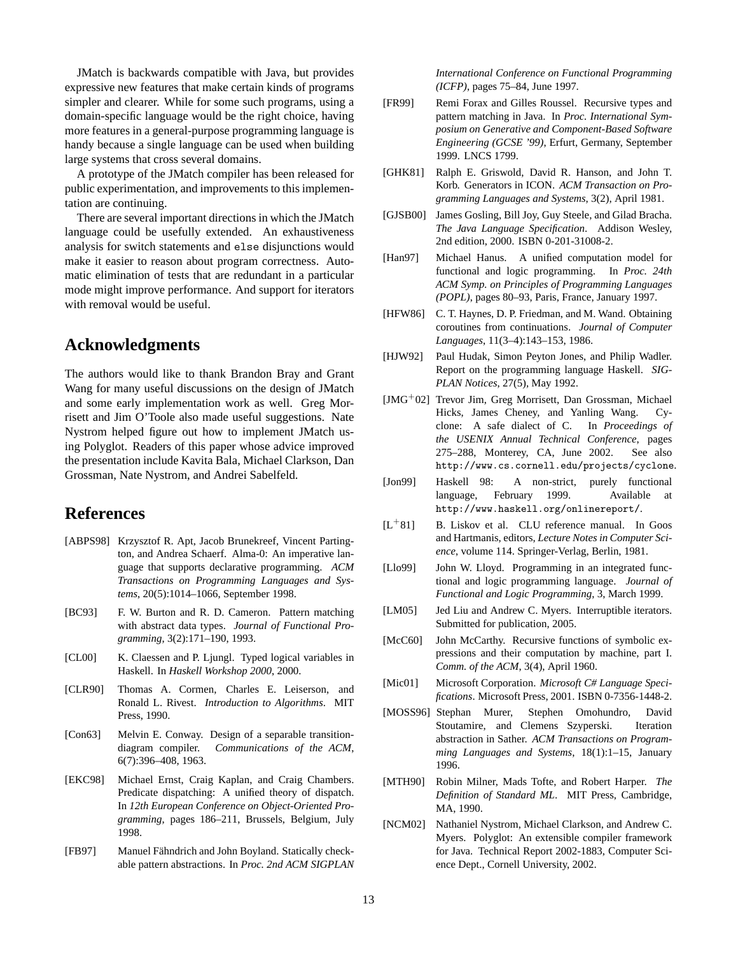JMatch is backwards compatible with Java, but provides expressive new features that make certain kinds of programs simpler and clearer. While for some such programs, using a domain-specific language would be the right choice, having more features in a general-purpose programming language is handy because a single language can be used when building large systems that cross several domains.

A prototype of the JMatch compiler has been released for public experimentation, and improvements to this implementation are continuing.

There are several important directions in which the JMatch language could be usefully extended. An exhaustiveness analysis for switch statements and else disjunctions would make it easier to reason about program correctness. Automatic elimination of tests that are redundant in a particular mode might improve performance. And support for iterators with removal would be useful.

## **Acknowledgments**

The authors would like to thank Brandon Bray and Grant Wang for many useful discussions on the design of JMatch and some early implementation work as well. Greg Morrisett and Jim O'Toole also made useful suggestions. Nate Nystrom helped figure out how to implement JMatch using Polyglot. Readers of this paper whose advice improved the presentation include Kavita Bala, Michael Clarkson, Dan Grossman, Nate Nystrom, and Andrei Sabelfeld.

## **References**

- <span id="page-12-20"></span>[ABPS98] Krzysztof R. Apt, Jacob Brunekreef, Vincent Partington, and Andrea Schaerf. Alma-0: An imperative language that supports declarative programming. *ACM Transactions on Programming Languages and Systems*, 20(5):1014–1066, September 1998.
- <span id="page-12-16"></span>[BC93] F. W. Burton and R. D. Cameron. Pattern matching with abstract data types. *Journal of Functional Programming*, 3(2):171–190, 1993.
- <span id="page-12-19"></span>[CL00] K. Claessen and P. Ljungl. Typed logical variables in Haskell. In *Haskell Workshop 2000*, 2000.
- <span id="page-12-13"></span>[CLR90] Thomas A. Cormen, Charles E. Leiserson, and Ronald L. Rivest. *Introduction to Algorithms*. MIT Press, 1990.
- <span id="page-12-11"></span>[Con63] Melvin E. Conway. Design of a separable transitiondiagram compiler. *Communications of the ACM*, 6(7):396–408, 1963.
- <span id="page-12-22"></span>[EKC98] Michael Ernst, Craig Kaplan, and Craig Chambers. Predicate dispatching: A unified theory of dispatch. In *12th European Conference on Object-Oriented Programming*, pages 186–211, Brussels, Belgium, July 1998.
- <span id="page-12-7"></span>[FB97] Manuel Fähndrich and John Boyland. Statically checkable pattern abstractions. In *Proc. 2nd ACM SIGPLAN*

*International Conference on Functional Programming (ICFP)*, pages 75–84, June 1997.

- <span id="page-12-21"></span>[FR99] Remi Forax and Gilles Roussel. Recursive types and pattern matching in Java. In *Proc. International Symposium on Generative and Component-Based Software Engineering (GCSE '99)*, Erfurt, Germany, September 1999. LNCS 1799.
- <span id="page-12-2"></span>[GHK81] Ralph E. Griswold, David R. Hanson, and John T. Korb. Generators in ICON. *ACM Transaction on Programming Languages and Systems*, 3(2), April 1981.
- <span id="page-12-0"></span>[GJSB00] James Gosling, Bill Joy, Guy Steele, and Gilad Bracha. *The Java Language Specification*. Addison Wesley, 2nd edition, 2000. ISBN 0-201-31008-2.
- <span id="page-12-17"></span>[Han97] Michael Hanus. A unified computation model for functional and logic programming. In *Proc. 24th ACM Symp. on Principles of Programming Languages (POPL)*, pages 80–93, Paris, France, January 1997.
- <span id="page-12-12"></span>[HFW86] C. T. Haynes, D. P. Friedman, and M. Wand. Obtaining coroutines from continuations. *Journal of Computer Languages*, 11(3–4):143–153, 1986.
- <span id="page-12-15"></span>[HJW92] Paul Hudak, Simon Peyton Jones, and Philip Wadler. Report on the programming language Haskell. *SIG-PLAN Notices*, 27(5), May 1992.
- <span id="page-12-6"></span> $[JMG<sup>+</sup>02]$  Trevor Jim, Greg Morrisett, Dan Grossman, Michael Hicks, James Cheney, and Yanling Wang. Cyclone: A safe dialect of C. In *Proceedings of the USENIX Annual Technical Conference*, pages 275–288, Monterey, CA, June 2002. See also http://www.cs.cornell.edu/projects/cyclone.
- <span id="page-12-5"></span>[Jon99] Haskell 98: A non-strict, purely functional language, February 1999. Available at http://www.haskell.org/onlinereport/.
- <span id="page-12-1"></span> $[L^+81]$  B. Liskov et al. CLU reference manual. In Goos and Hartmanis, editors, *Lecture Notes in Computer Science*, volume 114. Springer-Verlag, Berlin, 1981.
- <span id="page-12-18"></span>[Llo99] John W. Lloyd. Programming in an integrated functional and logic programming language. *Journal of Functional and Logic Programming*, 3, March 1999.
- <span id="page-12-10"></span>[LM05] Jed Liu and Andrew C. Myers. Interruptible iterators. Submitted for publication, 2005.
- <span id="page-12-14"></span>[McC60] John McCarthy. Recursive functions of symbolic expressions and their computation by machine, part I. *Comm. of the ACM*, 3(4), April 1960.
- <span id="page-12-8"></span>[Mic01] Microsoft Corporation. *Microsoft C# Language Specifications*. Microsoft Press, 2001. ISBN 0-7356-1448-2.
- <span id="page-12-3"></span>[MOSS96] Stephan Murer, Stephen Omohundro, David Stoutamire, and Clemens Szyperski. Iteration abstraction in Sather. *ACM Transactions on Programming Languages and Systems*, 18(1):1–15, January 1996.
- <span id="page-12-4"></span>[MTH90] Robin Milner, Mads Tofte, and Robert Harper. *The Definition of Standard ML*. MIT Press, Cambridge, MA, 1990.
- <span id="page-12-9"></span>[NCM02] Nathaniel Nystrom, Michael Clarkson, and Andrew C. Myers. Polyglot: An extensible compiler framework for Java. Technical Report 2002-1883, Computer Science Dept., Cornell University, 2002.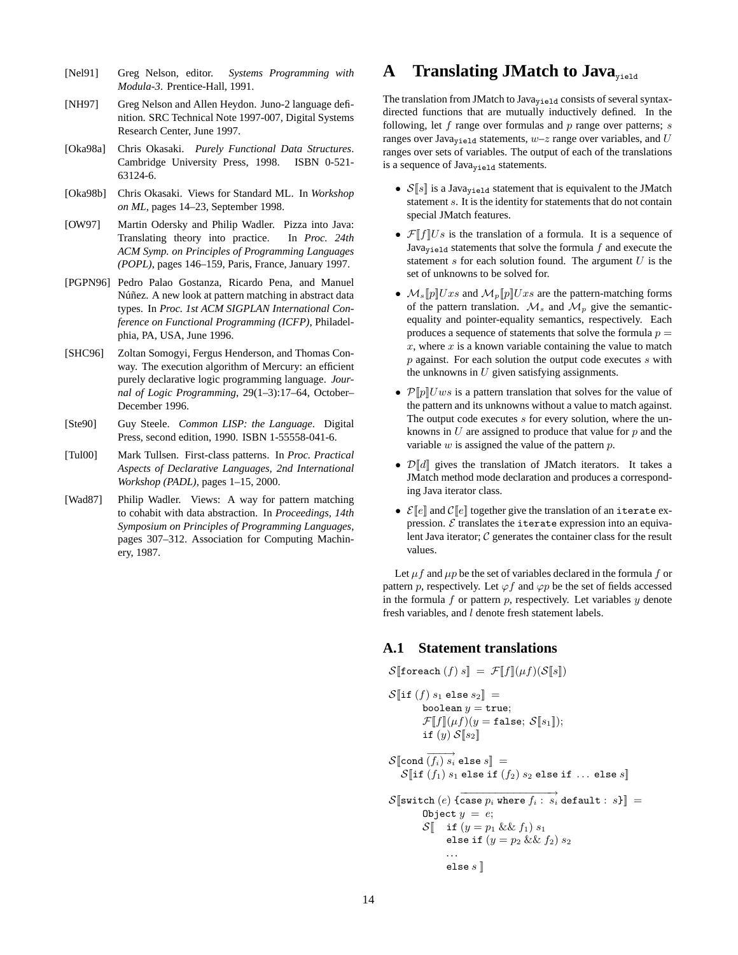- <span id="page-13-0"></span>[Nel91] Greg Nelson, editor. *Systems Programming with Modula-3*. Prentice-Hall, 1991.
- <span id="page-13-9"></span>[NH97] Greg Nelson and Allen Heydon. Juno-2 language definition. SRC Technical Note 1997-007, Digital Systems Research Center, June 1997.
- <span id="page-13-5"></span>[Oka98a] Chris Okasaki. *Purely Functional Data Structures*. Cambridge University Press, 1998. ISBN 0-521- 63124-6.
- <span id="page-13-7"></span>[Oka98b] Chris Okasaki. Views for Standard ML. In *Workshop on ML*, pages 14–23, September 1998.
- <span id="page-13-10"></span>[OW97] Martin Odersky and Philip Wadler. Pizza into Java: Translating theory into practice. In *Proc. 24th ACM Symp. on Principles of Programming Languages (POPL)*, pages 146–159, Paris, France, January 1997.
- <span id="page-13-2"></span>[PGPN96] Pedro Palao Gostanza, Ricardo Pena, and Manuel Núñez. A new look at pattern matching in abstract data types. In *Proc. 1st ACM SIGPLAN International Conference on Functional Programming (ICFP)*, Philadelphia, PA, USA, June 1996.
- <span id="page-13-3"></span>[SHC96] Zoltan Somogyi, Fergus Henderson, and Thomas Conway. The execution algorithm of Mercury: an efficient purely declarative logic programming language. *Journal of Logic Programming*, 29(1–3):17–64, October– December 1996.
- <span id="page-13-6"></span>[Ste90] Guy Steele. *Common LISP: the Language*. Digital Press, second edition, 1990. ISBN 1-55558-041-6.
- <span id="page-13-8"></span>[Tul00] Mark Tullsen. First-class patterns. In *Proc. Practical Aspects of Declarative Languages, 2nd International Workshop (PADL)*, pages 1–15, 2000.
- <span id="page-13-1"></span>[Wad87] Philip Wadler. Views: A way for pattern matching to cohabit with data abstraction. In *Proceedings, 14th Symposium on Principles of Programming Languages*, pages 307–312. Association for Computing Machinery, 1987.

# <span id="page-13-4"></span>**A** Translating JMatch to Java<sub>vield</sub>

The translation from JMatch to Java<sub>yield</sub> consists of several syntaxdirected functions that are mutually inductively defined. In the following, let  $f$  range over formulas and  $p$  range over patterns;  $s$ ranges over Java<sub>yield</sub> statements,  $w-z$  range over variables, and U ranges over sets of variables. The output of each of the translations is a sequence of Java<sub>yield</sub> statements.

- $S[s]$  is a Java<sub>yield</sub> statement that is equivalent to the JMatch statement s. It is the identity for statements that do not contain special JMatch features.
- $\mathcal{F}[f]/Us$  is the translation of a formula. It is a sequence of Java<sub>vield</sub> statements that solve the formula  $f$  and execute the statement s for each solution found. The argument  $U$  is the set of unknowns to be solved for.
- $\mathcal{M}_s$  [p] Uxs and  $\mathcal{M}_p$  [p] Uxs are the pattern-matching forms of the pattern translation.  $\mathcal{M}_s$  and  $\mathcal{M}_p$  give the semanticequality and pointer-equality semantics, respectively. Each produces a sequence of statements that solve the formula  $p =$  $x$ , where  $x$  is a known variable containing the value to match  $p$  against. For each solution the output code executes  $s$  with the unknowns in  $U$  given satisfying assignments.
- $P[p]Uws$  is a pattern translation that solves for the value of the pattern and its unknowns without a value to match against. The output code executes  $s$  for every solution, where the unknowns in  $U$  are assigned to produce that value for  $p$  and the variable  $w$  is assigned the value of the pattern  $p$ .
- $\mathcal{D}[d]$  gives the translation of JMatch iterators. It takes a JMatch method mode declaration and produces a corresponding Java iterator class.
- $\mathcal{E}[\![e]\!]$  and  $\mathcal{C}[\![e]\!]$  together give the translation of an iterate expression.  $E$  translates the iterate expression into an equivalent Java iterator;  $C$  generates the container class for the result values.

Let  $\mu f$  and  $\mu p$  be the set of variables declared in the formula f or pattern p, respectively. Let  $\varphi f$  and  $\varphi p$  be the set of fields accessed in the formula  $f$  or pattern  $p$ , respectively. Let variables  $y$  denote fresh variables, and l denote fresh statement labels.

#### **A.1 Statement translations**

```
\mathcal{S}[foreach (f) s] = \mathcal{F}[f](\mu f)(\mathcal{S}[s])\mathcal{S}[if (f) s_1 else s_2] =
            boolean y = \text{true};
            \mathcal{F}[f](\mu f)(y = \mathtt{false}; \mathcal{S}[s_1]);if (y) S[s_2]{\cal S}[\![{\sf cond}\stackrel{\longrightarrow}{(f_i)}\stackrel{\longrightarrow}{s_i}else s]\!] \;=\;\mathcal{S}[if (f_1) s_1 else if (f_2) s_2 else if ... else s]
\mathcal{S}[\text{switch}(e) \ \{\text{case } p_i \text{ where } f_i : s_i \text{ default}: s \}] =Object y = e;
            \mathcal{S}[ if (y = p_1 \&\& f_1) s_1else if (y = p_2 \&\& f_2) s_2. . .
                    else s \parallel
```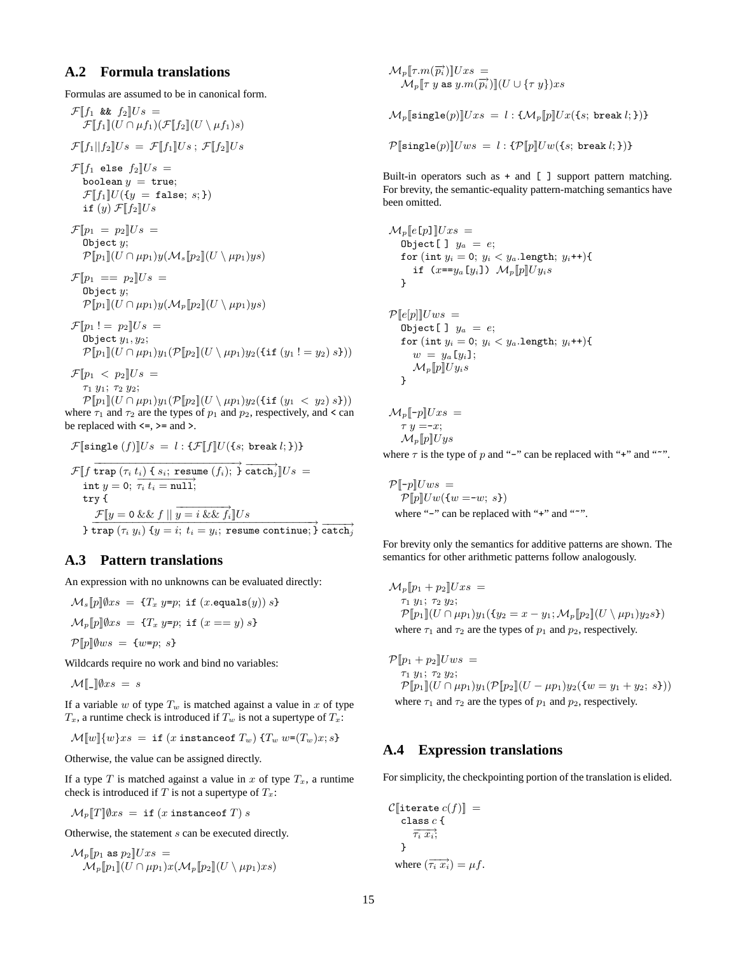## **A.2 Formula translations**

Formulas are assumed to be in canonical form.

 $\mathcal{F}[[f_1 \& \& f_2] \cup s =$  $\mathcal{F}\llbracket f_1 \rrbracket(U \cap \mu f_1)(\mathcal{F}\llbracket f_2 \rrbracket(U \setminus \mu f_1)s)$  $\mathcal{F}[f_1||f_2]Us = \mathcal{F}[f_1]Us$ ;  $\mathcal{F}[f_2]Us$  $\mathcal{F}[[f_1 \t{else} f_2]Us =$ boolean  $y = \text{true}$ ;  $\mathcal{F}[[f_1]]U(\{y = \texttt{false}; s; \})$ if  $(y)$   $\mathcal{F}[[f_2]]Us$  $\mathcal{F}[p_1 = p_2]Us =$ Object  $y$ ;  $\mathcal{P}[\![p_1]\!](U \cap \mu p_1)y(\mathcal{M}_s[\![p_2]\!](U \setminus \mu p_1)ys)$  $\mathcal{F}[p_1] == p_2]Us =$ Object y;  $\mathcal{P}\llbracket p_1 \rrbracket(U \cap \mu p_1) y(\mathcal{M}_p \llbracket p_2 \rrbracket(U \setminus \mu p_1)ys)$  $\mathcal{F}[p_1] = p_2 \mathcal{U}s =$ Object  $y_1, y_2$ ;  $\mathcal{P}[p_1](U \cap \mu p_1)y_1(\mathcal{P}[p_2](U \setminus \mu p_1)y_2(\text{if } (y_1 := y_2) s))$  $\mathcal{F}[\![p_1\; < \; p_2]\!]Us \;=\;$ τ<sup>1</sup> y1; τ<sup>2</sup> y2;  $\mathcal{P}[p_1](U \cap \mu p_1)y_1(\mathcal{P}[p_2](U \setminus \mu p_1)y_2(\{\text{if } (y_1 \lt y_2) s\}))$ where  $\tau_1$  and  $\tau_2$  are the types of  $p_1$  and  $p_2$ , respectively, and < can be replaced with  $\leq$ ,  $\geq$  and  $\geq$ .  $\mathcal{F}$ [single  $(f)$ ] $Us = l : \{\mathcal{F}$ [ $f$ ]] $U({s; \text{ break } l; })$ }

 $\mathcal{F}[\![f\! \overrightarrow{\text{trap}\,(\tau_i t_i) \{s_i; \text{resume}\,(\overrightarrow{f_i});\}}\overrightarrow{\text{catch}_j}]\!] U s\;=\;$ int  $y = 0$ ;  $\overrightarrow{\tau_i}$   $\overrightarrow{t_i}$  = null; try {  $\mathcal{F}[y = 0 \&\& f \mid y = i \&\& f_i \mid Us$  $\frac{10}{15}$   $\frac{10}{15}$   $\frac{10}{15}$   $\frac{10}{15}$   $\frac{10}{15}$   $\frac{10}{15}$   $\frac{10}{15}$   $\frac{10}{15}$   $\frac{10}{15}$   $\frac{10}{15}$   $\frac{10}{15}$   $\frac{10}{15}$   $\frac{10}{15}$   $\frac{10}{15}$   $\frac{10}{15}$   $\frac{10}{15}$   $\frac{10}{15}$   $\frac{10}{15}$   $\frac{1$ 

## **A.3 Pattern translations**

An expression with no unknowns can be evaluated directly:

$$
\mathcal{M}_s[p]\n\mathcal{D}xs = \{T_x \ y=p; \text{ if } (x.\text{equals}(y)) s\}
$$
\n
$$
\mathcal{M}_p[p]\n\mathcal{D}xs = \{T_x \ y=p; \text{ if } (x == y) s\}
$$
\n
$$
\mathcal{P}[p]\n\mathcal{D}ws = \{w=p; s\}
$$

Wildcards require no work and bind no variables:

 $\mathcal{M}$ [ $\lbrack \cdot \rbrack \emptyset xs = s$ 

If a variable w of type  $T_w$  is matched against a value in x of type  $T_x$ , a runtime check is introduced if  $T_w$  is not a supertype of  $T_x$ :

$$
\mathcal{M}[w]\{w\}xs = \text{ if } (x \text{ instance of } T_w) \{T_w w = (T_w)x; s\}
$$

Otherwise, the value can be assigned directly.

If a type T is matched against a value in x of type  $T_x$ , a runtime check is introduced if T is not a supertype of  $T<sub>x</sub>$ :

 $\mathcal{M}_p[\![T]\!]\emptyset xs = \text{ if } (x \text{ instance of } T) s$ 

Otherwise, the statement s can be executed directly.

 $\mathcal{M}_n$ [ $p_1$  as  $p_2$ ] $Uxs =$  $\mathcal{M}_p[\![p_1]\!](U \cap \mu p_1)x(\mathcal{M}_p[\![p_2]\!](U \setminus \mu p_1)xs)$   $\mathcal{M}_p[\![\tau.m(\overrightarrow{p_i})]\!] Uxs =$  $\mathcal{M}_p\llbracket \tau \: y \text{ as } y.m(\overrightarrow{p_i}) \rrbracket(U \cup \{\tau \: y\})xs$ 

 $\mathcal{M}_p$ [single(p)] $Uxs = l : {\mathcal{M}_p[p]}Ux({s; \text{ break } l; })$ 

 $\mathcal{P}[\text{single}(p)]Uws = l : {\{\mathcal{P}}[p]}Uw({s; \text{ break } l; \}})$ 

Built-in operators such as + and [ ] support pattern matching. For brevity, the semantic-equality pattern-matching semantics have been omitted.

$$
\mathcal{M}_p[\![e[p]\!]]Uxs =
$$
\n
$$
\begin{aligned}\n\text{Object}[1] \ y_a &= e; \\
\text{for (int } y_i &= 0; \ y_i < y_a.\text{length}; \ y_i++) \{ \\
\text{if } (x=y_a[y_i]) \ \mathcal{M}_p[\![p]\!]Uy_is \\
\} \\
\mathcal{P}[\![e[p]\!]]Uws &= \\
\text{Object}[1] \ y_a &= e; \\
\text{for (int } y_i &= 0; \ y_i < y_a.\text{length}; \ y_i++) \{ \\
w &= y_a[y_i]; \\
\mathcal{M}_p[\![p]\!]]Uy_is\n\}\n\end{aligned}
$$

$$
\mathcal{M}_p[\![-\mathcal{p}]\!]/Uxs =\\ \tau \ y = -x;\\ \mathcal{M}_p[\![\mathcal{p}]\!] Uys
$$

where  $\tau$  is the type of p and "-" can be replaced with "+" and """.

 $\mathcal{P}[-p]Uws =$  $\mathcal{P}[p]Uw({w = -w; s})$ where "-" can be replaced with "+" and "~".

For brevity only the semantics for additive patterns are shown. The semantics for other arithmetic patterns follow analogously.

 $\mathcal{M}_p$ [ $p_1 + p_2$ ] $Uxs =$  $\tau_1$   $y_1$ ;  $\tau_2$   $y_2$ ;  $\mathcal{P}[p_1](U \cap \mu p_1)y_1({y_2 = x - y_1; \mathcal{M}_p[p_2](U \setminus \mu p_1)y_2s})$ where  $\tau_1$  and  $\tau_2$  are the types of  $p_1$  and  $p_2$ , respectively.

 $\mathcal{P}[p_1 + p_2]Uws =$  $\tau_1$   $y_1$ ;  $\tau_2$   $y_2$ ;  $\mathcal{P}[p_1](U \cap \mu p_1)y_1(\mathcal{P}[p_2](U - \mu p_1)y_2(\{w = y_1 + y_2; s\}))$ where  $\tau_1$  and  $\tau_2$  are the types of  $p_1$  and  $p_2$ , respectively.

## <span id="page-14-0"></span>**A.4 Expression translations**

For simplicity, the checkpointing portion of the translation is elided.

$$
\mathcal{C}[\text{iterate } c(f)] = \text{class } c \text{ { }} \overline{\tau_i \ x_i}; \quad \text{ } \}
$$
\n
$$
\text{where } (\overline{\tau_i} \ \overline{x_i}) = \mu f.
$$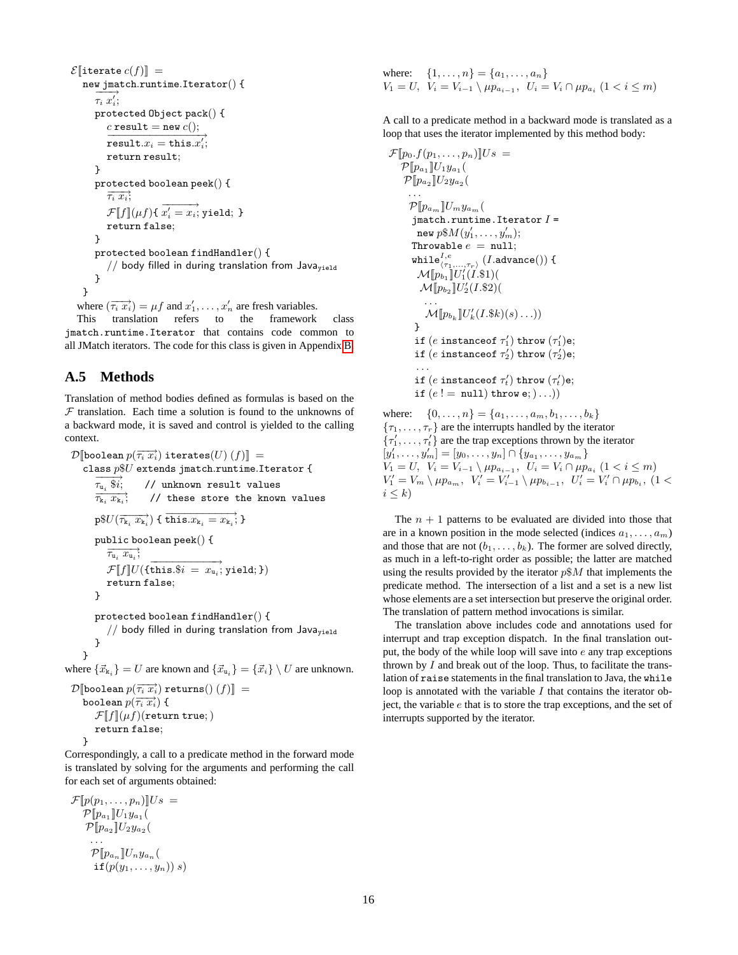```
\mathcal{E}[iterate c(f)] =
    new jmatch.runtime.Iterator() {
         \overrightarrow{\tau_i x_i};protected Object pack() {
            c result = new c();
             \overrightarrow{r}=\frac{1}{\text{const.}}\overrightarrow{x_i};
            return result;
        }
        protected boolean peek() {
            \overrightarrow{\tau_i}\ \overrightarrow{x_i}\mathcal{F}\llbracket f \rrbracket (\mu f) \{ \overrightarrow{x_i'} = x_i; \text{yield}; \ \}return false;
        }
        protected boolean findHandler() {
            // body filled in during translation from Java<sub>yield</sub>
        }
    }
  where (\overrightarrow{\tau_i} \overrightarrow{x_i}) = \mu f and x'_1, \ldots, x'_n are fresh variables.
```
This translation refers to the framework class jmatch.runtime.Iterator that contains code common to all JMatch iterators. The code for this class is given in Appendix [B.](#page-16-0)

## <span id="page-15-0"></span>**A.5 Methods**

Translation of method bodies defined as formulas is based on the  $F$  translation. Each time a solution is found to the unknowns of a backward mode, it is saved and control is yielded to the calling context.

```
\mathcal{D}[\texttt{boolean} \, p(\overrightarrow{\tau_i \, x_i}) \, \texttt{iterates}(U) \, (f)] \; =class p$U extends jmatch.runtime.Iterator {
           \tau_{u_i} $i; // unknown result values
           \overrightarrow{\tau_{\mathbf{k}_i} x_{\mathbf{k}_i}}// these store the known values
            \texttt{p$U}(\overrightarrow{\tau_{\texttt{k}_i}\ x_{\texttt{k}_i}}) { \overrightarrow{\texttt{this}.x_{\texttt{k}_i}=x_{\texttt{k}_i}} }
           public boolean peek() {
                \overrightarrow{\tau_{\mathbf{u}_i} x_{\mathbf{u}_i}}\mathcal{F}\llbracket f \rrbracket U(\{\overline{\texttt{this}}.\$i = x_{\texttt{u}_i}; \texttt{yield};\})return false;
           }
           protected boolean findHandler() {
                // body filled in during translation from Java_{yield}}
      }
where \{\vec{x}_{k_i}\}=U are known and \{\vec{x}_{u_i}\}=\{\vec{x}_i\}\setminus U are unknown.
```

```
\mathcal{D}[\texttt{boolean} \, p(\overrightarrow{\tau_i \, x_i}) \, \texttt{returns()}\, (f)]\, =boolean p(\overrightarrow{\tau_i}\ \overrightarrow{x_i}) {
         \mathcal{F}[[f]](\mu f)(return true;)
         return false;
    }
```
Correspondingly, a call to a predicate method in the forward mode is translated by solving for the arguments and performing the call for each set of arguments obtained:

```
\mathcal{F}[p(p_1,\ldots,p_n)]Us =\mathcal{P}[\![p_{a_1}]\!]U_1y_{a_1}(\mathcal{P}[p_{a_2}]U_2y_{a_2}(
        . . .
       \mathcal{P}[\![p_{a_n}]\!] U_n y_{a_n}if(p(y_1, \ldots, y_n)) s)
```
where:  $\{1, \ldots, n\} = \{a_1, \ldots, a_n\}$  $V_1 = U$ ,  $V_i = V_{i-1} \setminus \mu p_{a_{i-1}}, \ U_i = V_i \cap \mu p_{a_i} (1 \leq i \leq m)$ 

A call to a predicate method in a backward mode is translated as a loop that uses the iterator implemented by this method body:

$$
\mathcal{F}[p_0, f(p_1, \ldots, p_n)]Us =
$$
\n
$$
\mathcal{P}[p_{a_1}][U_1y_{a_1}(
$$
\n
$$
\mathcal{P}[p_{a_2}][U_2y_{a_2}(
$$
\n...\n
$$
\mathcal{P}[p_{a_m}][U_my_{a_m}(
$$
\n
$$
\text{jmatch. runtime.Iterator } I =
$$
\n
$$
\text{new } p \$M(y'_1, \ldots, y'_m);
$$
\n
$$
\text{Trrowable } e = \text{null};
$$
\n
$$
\text{while}^{\{I, e\}}_{\langle \tau_1, \ldots, \tau_r \rangle} (I.\text{advance}()) \{ \mathcal{M}[p_{b_1}][U'_1(I.\$1)(
$$
\n
$$
\mathcal{M}[p_{b_2}][U'_2(I.\$2)(
$$
\n...\n
$$
\mathcal{M}[p_{b_k}][U'_k(I.\$k)(s)...)) \}
$$
\n} if (e \text{instanceof } \tau'\_1) \text{ throw } (\tau'\_1) \text{e};\n
$$
\text{if (e instance of } \tau'_2) \text{ throw } (\tau'_2) \text{e};
$$
\n
$$
\text{if (e instance of } \tau'_1) \text{ throw } (\tau'_1) \text{e};
$$
\n
$$
\text{if (e != null) throw } \text{e}; ...)
$$

where:  $\{0, \ldots, n\} = \{a_1, \ldots, a_m, b_1, \ldots, b_k\}$  $\{\tau_1, \ldots, \tau_r\}$  are the interrupts handled by the iterator  $\{\tau'_1, \ldots, \tau'_t\}$  are the trap exceptions thrown by the iterator  $[y'_1, \ldots, y'_m] = [y_0, \ldots, y_n] \cap \{y_{a_1}, \ldots, y_{a_m}\}\$  $V_1 = U, V_i = V_{i-1} \setminus \mu p_{a_{i-1}}, U_i = V_i \cap \mu p_{a_i} (1 \leq i \leq m)$  $V'_1 = V_m \setminus \mu p_{a_m}, \ \ V'_i = V'_{i-1} \setminus \mu p_{b_{i-1}}, \ \ U'_i = V'_i \cap \mu p_{b_i}, \ (1 \leq i \leq m)$  $i \leq k$ 

The  $n + 1$  patterns to be evaluated are divided into those that are in a known position in the mode selected (indices  $a_1, \ldots, a_m$ ) and those that are not  $(b_1, \ldots, b_k)$ . The former are solved directly, as much in a left-to-right order as possible; the latter are matched using the results provided by the iterator  $p\$  M that implements the predicate method. The intersection of a list and a set is a new list whose elements are a set intersection but preserve the original order. The translation of pattern method invocations is similar.

The translation above includes code and annotations used for interrupt and trap exception dispatch. In the final translation output, the body of the while loop will save into e any trap exceptions thrown by  $I$  and break out of the loop. Thus, to facilitate the translation of raise statements in the final translation to Java, the while loop is annotated with the variable  $I$  that contains the iterator object, the variable  $e$  that is to store the trap exceptions, and the set of interrupts supported by the iterator.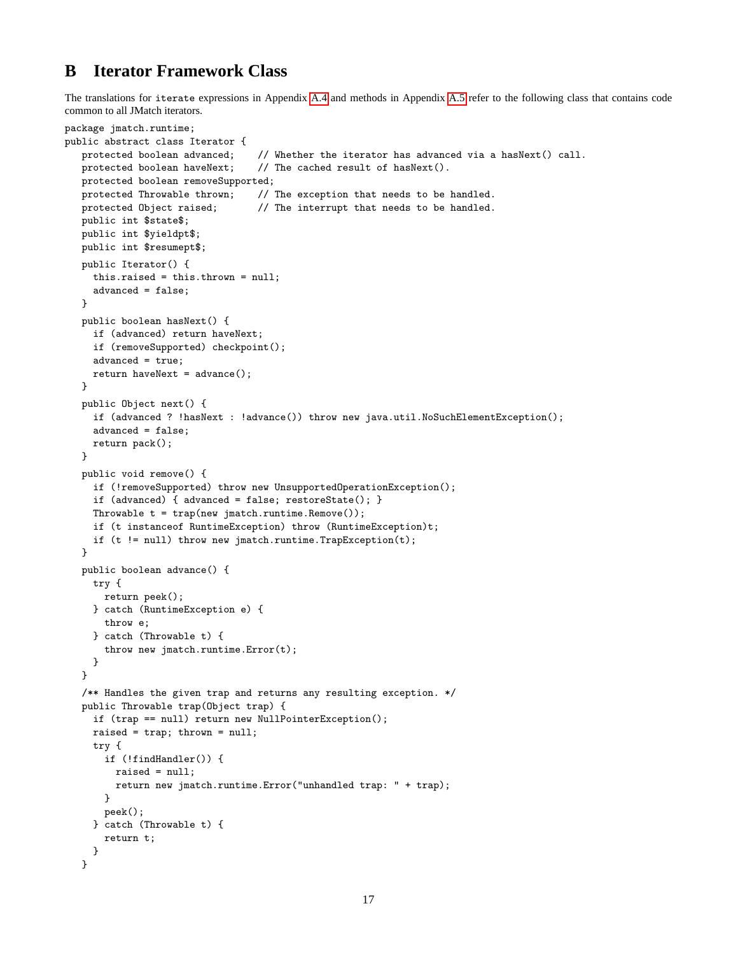# <span id="page-16-0"></span>**B Iterator Framework Class**

The translations for iterate expressions in Appendix [A.4](#page-14-0) and methods in Appendix [A.5](#page-15-0) refer to the following class that contains code common to all JMatch iterators.

```
package jmatch.runtime;
public abstract class Iterator {
  protected boolean advanced; // Whether the iterator has advanced via a hasNext() call.
  protected boolean haveNext; // The cached result of hasNext().
  protected boolean removeSupported;
  protected Throwable thrown; // The exception that needs to be handled.
  protected Object raised; // The interrupt that needs to be handled.
  public int $state$;
  public int $yieldpt$;
  public int $resumept$;
  public Iterator() {
    this.raised = this.thrown = null;
     advanced = false;
  }
  public boolean hasNext() {
    if (advanced) return haveNext;
    if (removeSupported) checkpoint();
    advanced = true;
    return haveNext = advance();
   }
   public Object next() {
    if (advanced ? !hasNext : !advance()) throw new java.util.NoSuchElementException();
     advanced = false;
    return pack();
   }
   public void remove() {
    if (!removeSupported) throw new UnsupportedOperationException();
     if (advanced) { advanced = false; restoreState(); }
    Throwable t = \text{trap(new jmatch.runtime.Remove())};if (t instanceof RuntimeException) throw (RuntimeException)t;
     if (t != null) throw new jmatch.runtime.TrapException(t);
   }
  public boolean advance() {
    try {
      return peek();
    } catch (RuntimeException e) {
      throw e;
    } catch (Throwable t) {
      throw new jmatch.runtime.Error(t);
     }
   }
   /** Handles the given trap and returns any resulting exception. */
   public Throwable trap(Object trap) {
     if (trap == null) return new NullPointerException();
    raised = trap; thrown = null;
    try {
      if (!findHandler()) {
        raised = null;
         return new jmatch.runtime.Error("unhandled trap: " + trap);
      }
      peek();
    } catch (Throwable t) {
      return t;
    }
   }
```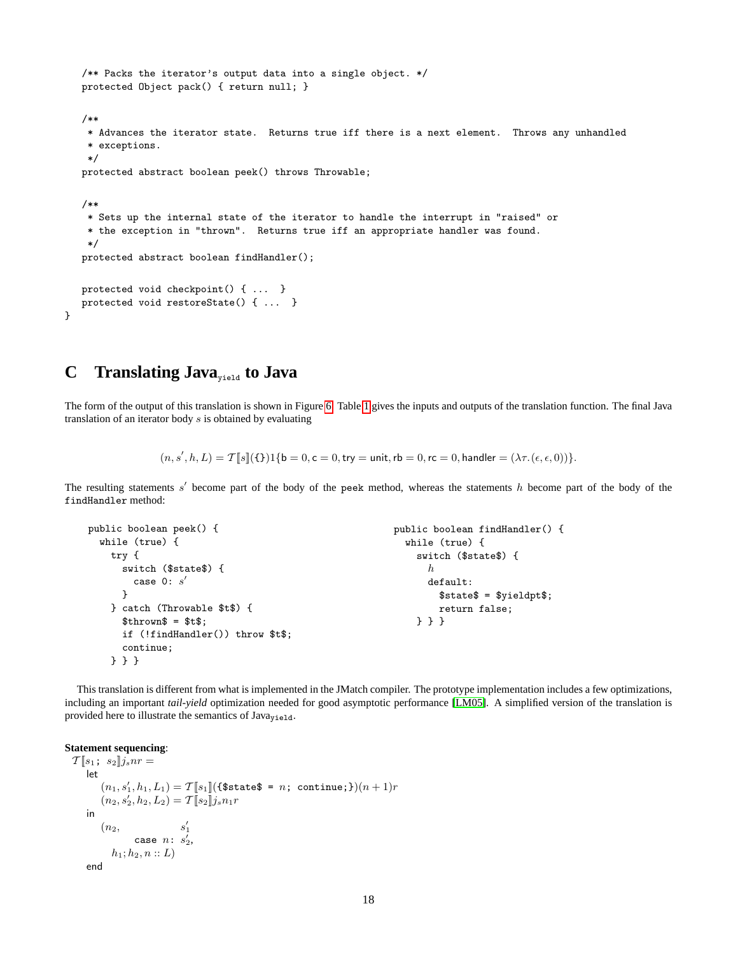```
/** Packs the iterator's output data into a single object. */
protected Object pack() { return null; }
/**
* Advances the iterator state. Returns true iff there is a next element. Throws any unhandled
 * exceptions.
*/
protected abstract boolean peek() throws Throwable;
/**
* Sets up the internal state of the iterator to handle the interrupt in "raised" or
* the exception in "thrown". Returns true iff an appropriate handler was found.
*/
protected abstract boolean findHandler();
protected void checkpoint() { ... }
protected void restoreState() { ... }
```
# <span id="page-17-0"></span>**C Translating Java**yield **to Java**

}

The form of the output of this translation is shown in Figure [6.](#page-10-2) Table [1](#page-18-0) gives the inputs and outputs of the translation function. The final Java translation of an iterator body s is obtained by evaluating

 $(n, s', h, L) = \mathcal{T}[\![s]\!](\{t\}) 1\{b = 0, c = 0, \text{try} = \text{unit}, \text{rb} = 0, \text{rc} = 0, \text{handler} = (\lambda \tau.(\epsilon, \epsilon, 0))\}.$ 

The resulting statements  $s'$  become part of the body of the peek method, whereas the statements  $h$  become part of the body of the findHandler method:

```
public boolean peek() {
  while (true) {
    try {
      switch ($state$) {
        case 0: s'}
    } catch (Throwable $t$) {
      $thrown$ = $t$;if (!findHandler()) throw $t$;
      continue;
    } } }
                                                       public boolean findHandler() {
                                                         while (true) {
                                                           switch ($state$) {
                                                             h
                                                             default:
                                                                $state$ = $yieldpt$;return false;
                                                           } } }
```
This translation is different from what is implemented in the JMatch compiler. The prototype implementation includes a few optimizations, including an important *tail-yield* optimization needed for good asymptotic performance [\[LM05\]](#page-12-10). A simplified version of the translation is provided here to illustrate the semantics of Javayield.

#### **Statement sequencing**:

```
\mathcal{T}[[s_1; s_2]]j_s nr =let
        (n_1, s_1', h_1, L_1) = \mathcal{T}[\![s_1]\!] ({$state$ = n; continue;})(n+1)r(n_2, s'_2, h_2, L_2) = \mathcal{T}[\![s_2]\!] j_s n_1 rin
        (n_2,s'_1case n: s'_2,h_1; h_2, n :: Lend
```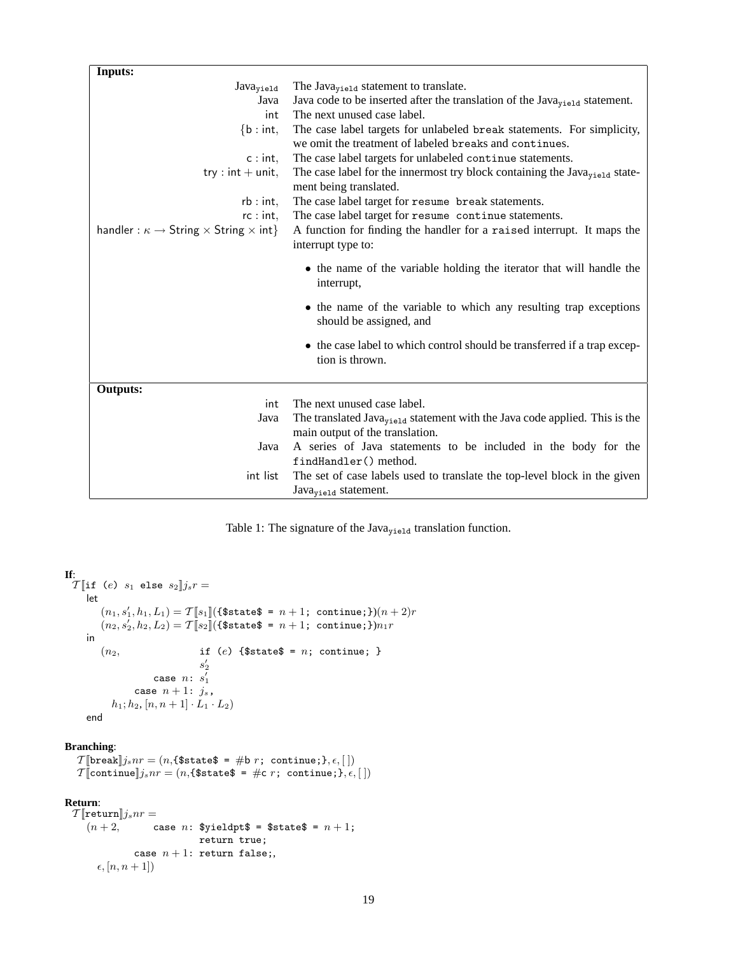| Inputs:                                                             |                                                                                        |
|---------------------------------------------------------------------|----------------------------------------------------------------------------------------|
| Java <sub>yield</sub>                                               | The Java <sub>vield</sub> statement to translate.                                      |
| Java                                                                | Java code to be inserted after the translation of the Java <sub>yield</sub> statement. |
| int                                                                 | The next unused case label.                                                            |
| $\{b : int,$                                                        | The case label targets for unlabeled break statements. For simplicity,                 |
|                                                                     | we omit the treatment of labeled breaks and continues.                                 |
| $c:$ int.                                                           | The case label targets for unlabeled continue statements.                              |
| try : $int + unit$ ,                                                | The case label for the innermost try block containing the $Javayield$ state-           |
|                                                                     | ment being translated.                                                                 |
| rb: int,                                                            | The case label target for resume break statements.                                     |
| rc: int.                                                            | The case label target for resume continue statements.                                  |
| handler : $\kappa \rightarrow$ String $\times$ String $\times$ int} | A function for finding the handler for a raised interrupt. It maps the                 |
|                                                                     | interrupt type to:                                                                     |
|                                                                     |                                                                                        |
|                                                                     | • the name of the variable holding the iterator that will handle the                   |
|                                                                     | interrupt,                                                                             |
|                                                                     | • the name of the variable to which any resulting trap exceptions                      |
|                                                                     | should be assigned, and                                                                |
|                                                                     |                                                                                        |
|                                                                     | • the case label to which control should be transferred if a trap excep-               |
|                                                                     | tion is thrown.                                                                        |
|                                                                     |                                                                                        |
| <b>Outputs:</b>                                                     |                                                                                        |
| int                                                                 | The next unused case label.                                                            |
| Java                                                                | The translated $Java_{yield}$ statement with the Java code applied. This is the        |
|                                                                     | main output of the translation.                                                        |
| Java                                                                | A series of Java statements to be included in the body for the                         |
|                                                                     | findHandler() method.                                                                  |
| int list                                                            | The set of case labels used to translate the top-level block in the given              |
|                                                                     | Java <sub>yield</sub> statement.                                                       |

<span id="page-18-0"></span>Table 1: The signature of the Java<sub>yield</sub> translation function.

```
If:
  \mathcal{T}[\![\texttt{if}\!(\mathit{e})\!;\mathit{s}_1\!;\texttt{else}\!;\mathit{s}_2]\!]\!]\mathit{j}_s r =let
           (n_1, s'_1, h_1, L_1) = \mathcal{T}[\![s_1]\!] ({$state$ = n+1; continue;})(n+2)r\mathcal{L}(n_2, s_2', h_2, L_2) = \mathcal{T} \llbracket s_2 \rrbracket (\{\texttt{\$state\$ = n+1$}; \ \ \texttt{continue}; \}) n_1 rin
           (n_2, if (e) {$state$ = n; continue; }
                                            s_2'case n: s'_1case n+1: j_s,
              h_1; h_2, [n, n+1] \cdot L_1 \cdot L_2)end
```
## **Branching**:

```
\mathcal{T}[\text{break}]\text{J}_s n r = (n, \{\text{\$state}\}\text{\$ = \#b $r$}; \text{ continue}; \}, \epsilon, [\ ])\mathcal{T}[continue]j_{s}nr = (n, {\text{f}}\text{state}\text{*} = \text{\#c } r; \text{ continue}; \}, \epsilon, [\ ] )
```
## **Return**:

```
\mathcal{T}[\hspace{-1.5pt}[ \texttt{return} ]\hspace{-1.5pt}] j_snr =(n+2, \ldots) case n: $yieldpt$ = $state$ = n+1;
                                 return true;
                case n+1: return false;,
      \epsilon, [n, n+1]
```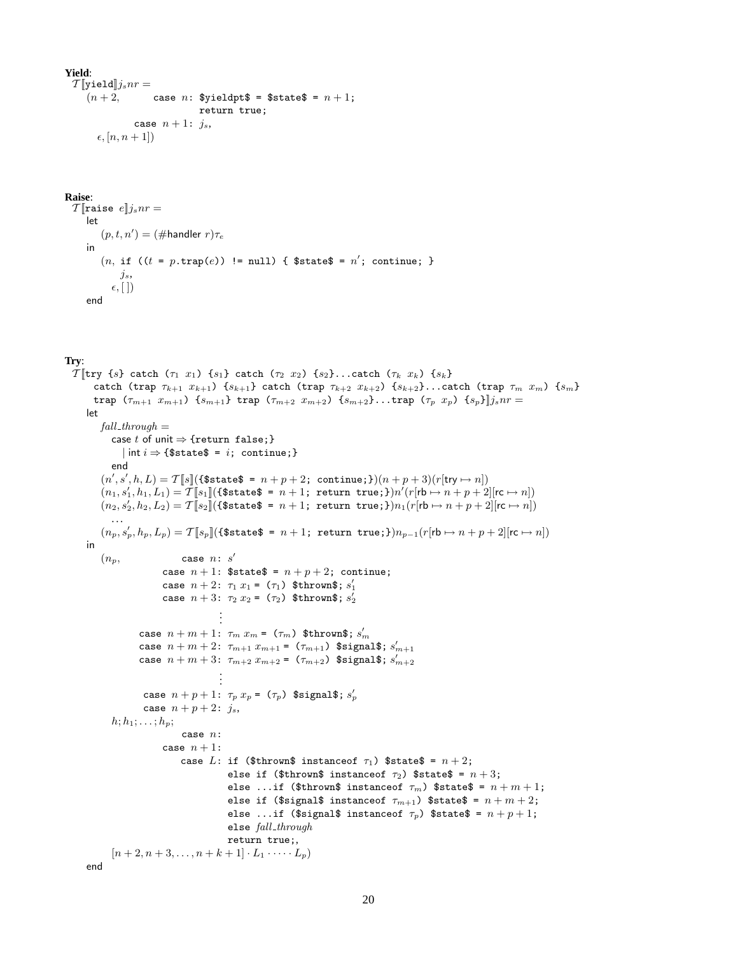```
Yield:
 \mathcal{T} [yield]j_s n r =(n+2, \ldots) case n: $yieldpt$ = $state$ = n+1;
                            return true;
              case n+1: j_s,
      \epsilon, [n, n+1]
```

```
Raise:
 \mathcal{T}[raise e]j_{s}nr =let
         (p, t, n') = (\# \text{handler } r) \tau_ein
         (n, if ((t = p.train(e)) != null) {$state$ = n'; continue; }
             i_s\epsilon, [\ ]end
```
## **Try**:

```
T[[try {s}} catch (\tau_1 \ x_1) \ \{s_1\} catch (\tau_2 \ x_2) \ \{s_2\} \dotscatch (\tau_k \ x_k) \ \{s_k\}catch (trap \tau_{k+1} x_{k+1}) \{s_{k+1}\}\right\} catch (trap \tau_{k+2} x_{k+2}) \{s_{k+2}\}\dotscatch (trap \tau_m x_m) \{s_m\}trap (\tau_{m+1} \ x_{m+1}) \{s_{m+1}\}\trap (\tau_{m+2} \ x_{m+2}) \{s_{m+2}\}\dotstrap (\tau_p \ x_p) \{s_p\}]j_snr =let
      fall\_through =case t of unit \Rightarrow {return false;}
            | int i \Rightarrow {$state$ = i; continue;}
         end
       (n', s', h, L) = \mathcal{T}[\![s]\!]( {\text{fstate}} \equiv n + p + 2; \text{ continue}; \} )(n + p + 3)(r[try \mapsto n])(n_1, s_1', h_1, L_1) = \mathcal{T}[\![s_1]\!] ({$state$ = n+1; return true;})n'(r[rb \mapsto n+p+2][r \mapsto n])(n_2, s_2', h_2, L_2) = \mathcal{T}[\![s_2]\!] ({$state$ = n+1; return true;})n_1(r[rb \mapsto n+p+2][r \mapsto n]). . .
       (n_p, s'_p, h_p, L_p) = \mathcal{T}[\![s_p]\!]({$state$ = n+1; return true;})n_{p-1}(r[rb \mapsto n+p+2][rc\mapsto n])
   in
       (n_p, \hspace{1cm} \text{case} \hspace{1cm} n \colon \hspace{1cm} s'case n+1: \text{state}\ = n+p+2; continue;
                      case n+2: \tau_1 x_1 = (\tau_1) $thrown$; s'_1case n+3: \tau_2 x_2 = (\tau_2) $thrown$; s'_2.
                                    .
                                    .
                case n+m+1: \tau_m x_m = (\tau_m) $thrown$; s'_mcase n + m + 2: \tau_{m+1} x_{m+1} = (\tau_{m+1}) $signal$; s'_{m+1}case n + m + 3: \tau_{m+2} x_{m+2} = (\tau_{m+2}) $signal$; s'_{m+2}.
                                    .
                                    .
                 case n+p+1: \tau_p x_p = (\tau_p) $signal$; s'_pcase n + p + 2: j_s,
         h; h_1; \ldots; h_p;case n:
                      case n+1:
                          case L: if ($thrown$ instanceof \tau_1) $state$ = n+2;
                                      else if ($thrown$ instanceof \tau_2) $state$ = n+3;
                                      else ...if ($thrown$ instanceof \tau_m) $state$ = n + m + 1;
                                      else if ($signal$ instanceof \tau_{m+1}) $state$ = n + m + 2;
                                      else ...if ($signal$ instanceof \tau_p) $state$ = n+p+1;
                                      else fall_through
                                      return true;,
         [n+2, n+3, \ldots, n+k+1] \cdot L_1 \cdots L_p
```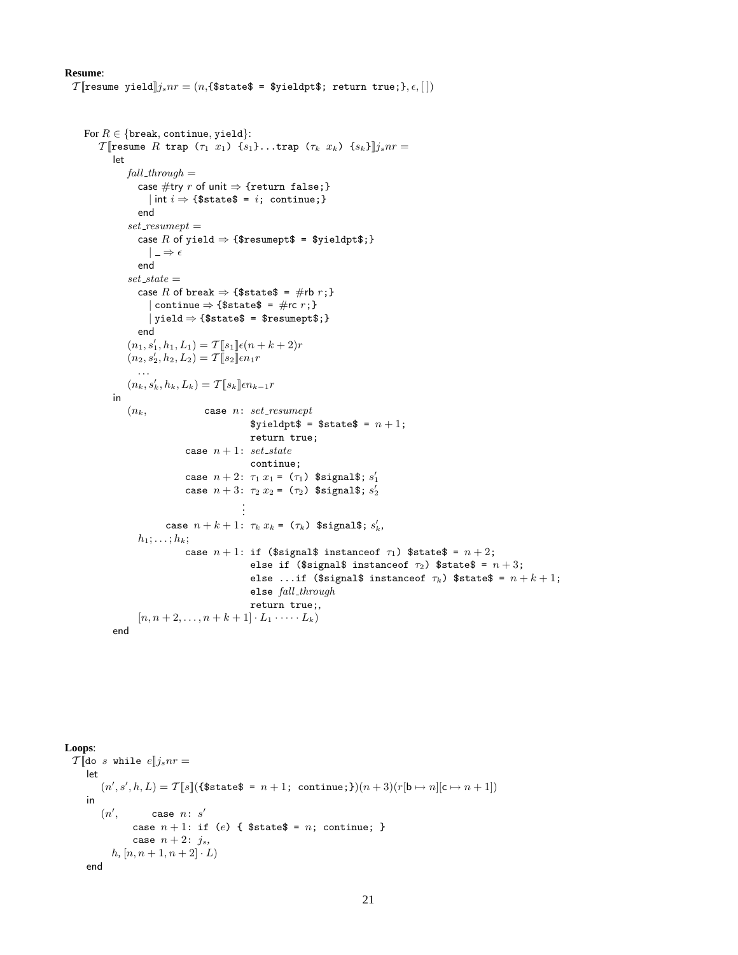#### **Resume**:

```
T[resume yield]j_snr = (n,\{\text{\$state\$ = \$yield}pt\$, return true;\},\epsilon, [\ ] )For R \in \{break continue, yield\}:
      T [[resume R trap (\tau_1 x_1) \{s_1\} \dotstrap (\tau_k x_k) \{s_k\}]j_s nr =let
             fall\_through =case #try r of unit \Rightarrow {return false;}
                  | int i \Rightarrow {$state$ = i; continue;}
               end
             set\_resumept =case R of yield \Rightarrow {$resumept$ = $yieldpt$;}
                  |\Rightarrow \epsilonend
             set\_state =case R of break \Rightarrow {$state$ = #rb r;}
                  | continue \Rightarrow {$state$ = #rc r;}
                  | yield ⇒ {$state$ = $resumept$;}
               end
             (n_1, s'_1, h_1, L_1) = \mathcal{T}[\![s_1]\!] \epsilon (n + k + 2)r(n_2, s'_2, h_2, L_2) = \mathcal{T}[\![s_2]\!] \epsilon n_1 r. . .
             (n_k, s'_k, h_k, L_k) = \mathcal{T}[\![s_k]\!] \epsilon n_{k-1}rin
             (n_k, \ldots, n: set\_resumept$yieldpt$ = $state$ = <math>n+1;</math>return true;
                           case n + 1: set\_statecontinue;
                           case n+2: \tau_1 x_1 = (\tau_1) $signal$; s'_1case n+3: \tau_2 x_2 = (\tau_2) $signal$; s'_2.
                                         .
                                         .
                       case n + k + 1: \tau_k x_k = (\tau_k) $signal$; s'_k,
               h_1; \ldots; h_k;case n + 1: if ($signal$ instanceof \tau_1) $state$ = n + 2;
                                           else if ($signal$ instanceof \tau_2) $state$ = n+3;
                                           else ...if ($signal$ instanceof \tau_k) $state$ = n + k + 1;
                                           else fall_through
                                           return true;,
               [n, n+2, \ldots, n+k+1] \cdot L_1 \cdots L_kend
```

```
Loops:
 \mathcal{T} do s while e jsnr =
    let
        (n', s', h, L) = \mathcal{T}[\![s]\!] ({$state$ = n + 1; continue;})(n + 3)(r[b \mapsto n][c \mapsto n + 1])in
        (n^{\prime}% )^{2}, case n: s'case n+1: if (e) { $state$ = n$; continue; }
               case n+2: j_s,
          h, [n, n+1, n+2] \cdot Lend
```